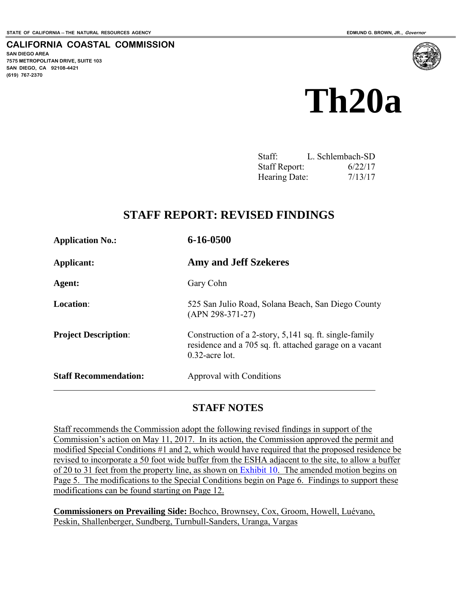**CALIFORNIA COASTAL COMMISSION** 

**SAN DIEGO AREA 7575 METROPOLITAN DRIVE, SUITE 103 SAN DIEGO, CA 92108-4421 (619) 767-2370**



# **Th20a**

| Staff:               | L. Schlembach-SD |
|----------------------|------------------|
| <b>Staff Report:</b> | 6/22/17          |
| Hearing Date:        | 7/13/17          |

# **STAFF REPORT: REVISED FINDINGS**

| <b>Application No.:</b>      | 6-16-0500                                                                                                                              |
|------------------------------|----------------------------------------------------------------------------------------------------------------------------------------|
| Applicant:                   | <b>Amy and Jeff Szekeres</b>                                                                                                           |
| Agent:                       | Gary Cohn                                                                                                                              |
| <b>Location:</b>             | 525 San Julio Road, Solana Beach, San Diego County<br>$(APN 298-371-27)$                                                               |
| <b>Project Description:</b>  | Construction of a 2-story, 5,141 sq. ft. single-family<br>residence and a 705 sq. ft. attached garage on a vacant<br>$0.32$ -acre lot. |
| <b>Staff Recommendation:</b> | Approval with Conditions                                                                                                               |

# **STAFF NOTES**

Staff recommends the Commission adopt the following revised findings in support of the Commission's action on May 11, 2017. In its action, the Commission approved the permit and modified Special Conditions #1 and 2, which would have required that the proposed residence be revised to incorporate a 50 foot wide buffer from the ESHA adjacent to the site, to allow a buffer of 20 to 31 feet from the property line, as shown on [Exhibit 10.](https://documents.coastal.ca.gov/reports/2017/7/Th20a/Th20a-7-2017-exhibits.pdf) The amended motion begins on Page 5. The modifications to the Special Conditions begin on Page 6. Findings to support these modifications can be found starting on Page 12.

**Commissioners on Prevailing Side:** Bochco, Brownsey, Cox, Groom, Howell, Luévano, Peskin, Shallenberger, Sundberg, Turnbull-Sanders, Uranga, Vargas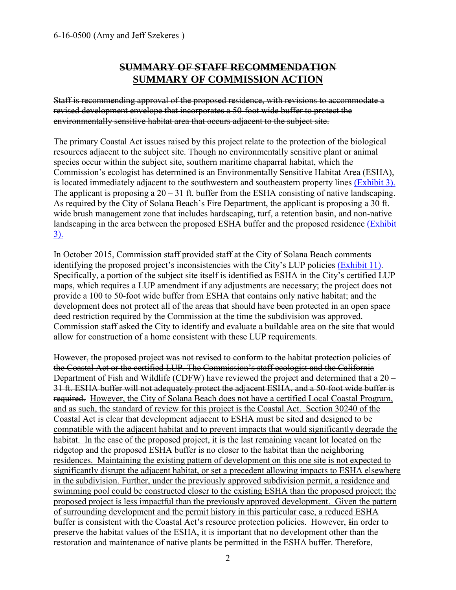# **SUMMARY OF STAFF RECOMMENDATION SUMMARY OF COMMISSION ACTION**

Staff is recommending approval of the proposed residence, with revisions to accommodate a revised development envelope that incorporates a 50-foot wide buffer to protect the environmentally sensitive habitat area that occurs adjacent to the subject site.

The primary Coastal Act issues raised by this project relate to the protection of the biological resources adjacent to the subject site. Though no environmentally sensitive plant or animal species occur within the subject site, southern maritime chaparral habitat, which the Commission's ecologist has determined is an Environmentally Sensitive Habitat Area (ESHA), is located immediately adjacent to the southwestern and southeastern property lines [\(Exhibit 3\).](https://documents.coastal.ca.gov/reports/2017/7/Th20a/Th20a-7-2017-exhibits.pdf)  The applicant is proposing a  $20 - 31$  ft. buffer from the ESHA consisting of native landscaping. As required by the City of Solana Beach's Fire Department, the applicant is proposing a 30 ft. wide brush management zone that includes hardscaping, turf, a retention basin, and non-native landscaping in the area between the proposed ESHA buffer and the proposed residence (Exhibit [3\).](https://documents.coastal.ca.gov/reports/2017/7/Th20a/Th20a-7-2017-exhibits.pdf) 

In October 2015, Commission staff provided staff at the City of Solana Beach comments identifying the proposed project's inconsistencies with the City's LUP policies [\(Exhibit 11\).](https://documents.coastal.ca.gov/reports/2017/7/Th20a/Th20a-7-2017-exhibits.pdf) Specifically, a portion of the subject site itself is identified as ESHA in the City's certified LUP maps, which requires a LUP amendment if any adjustments are necessary; the project does not provide a 100 to 50-foot wide buffer from ESHA that contains only native habitat; and the development does not protect all of the areas that should have been protected in an open space deed restriction required by the Commission at the time the subdivision was approved. Commission staff asked the City to identify and evaluate a buildable area on the site that would allow for construction of a home consistent with these LUP requirements.

However, the proposed project was not revised to conform to the habitat protection policies of the Coastal Act or the certified LUP. The Commission's staff ecologist and the California Department of Fish and Wildlife (CDFW) have reviewed the project and determined that a 20 – 31 ft. ESHA buffer will not adequately protect the adjacent ESHA, and a 50-foot wide buffer is required. However, the City of Solana Beach does not have a certified Local Coastal Program, and as such, the standard of review for this project is the Coastal Act. Section 30240 of the Coastal Act is clear that development adjacent to ESHA must be sited and designed to be compatible with the adjacent habitat and to prevent impacts that would significantly degrade the habitat. In the case of the proposed project, it is the last remaining vacant lot located on the ridgetop and the proposed ESHA buffer is no closer to the habitat than the neighboring residences. Maintaining the existing pattern of development on this one site is not expected to significantly disrupt the adjacent habitat, or set a precedent allowing impacts to ESHA elsewhere in the subdivision. Further, under the previously approved subdivision permit, a residence and swimming pool could be constructed closer to the existing ESHA than the proposed project; the proposed project is less impactful than the previously approved development. Given the pattern of surrounding development and the permit history in this particular case, a reduced ESHA buffer is consistent with the Coastal Act's resource protection policies. However, Iin order to preserve the habitat values of the ESHA, it is important that no development other than the restoration and maintenance of native plants be permitted in the ESHA buffer. Therefore,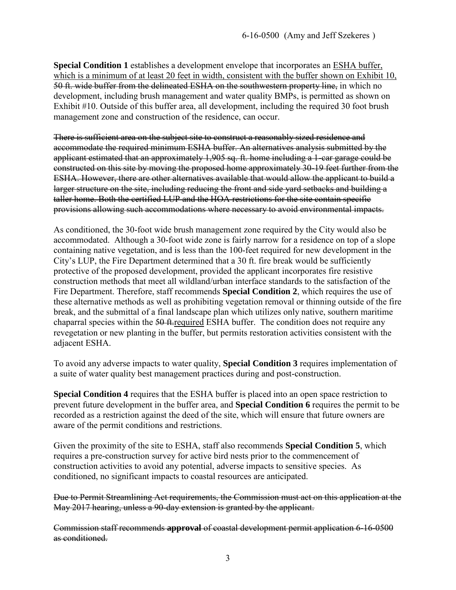**Special Condition 1** establishes a development envelope that incorporates an ESHA buffer, which is a minimum of at least 20 feet in width, consistent with the buffer shown on Exhibit 10, 50 ft. wide buffer from the delineated ESHA on the southwestern property line, in which no development, including brush management and water quality BMPs, is permitted as shown on Exhibit #10. Outside of this buffer area, all development, including the required 30 foot brush management zone and construction of the residence, can occur.

There is sufficient area on the subject site to construct a reasonably sized residence and accommodate the required minimum ESHA buffer. An alternatives analysis submitted by the applicant estimated that an approximately 1,905 sq. ft. home including a 1-car garage could be constructed on this site by moving the proposed home approximately 30-19 feet further from the ESHA. However, there are other alternatives available that would allow the applicant to build a larger structure on the site, including reducing the front and side yard setbacks and building a taller home. Both the certified LUP and the HOA restrictions for the site contain specific provisions allowing such accommodations where necessary to avoid environmental impacts.

As conditioned, the 30-foot wide brush management zone required by the City would also be accommodated. Although a 30-foot wide zone is fairly narrow for a residence on top of a slope containing native vegetation, and is less than the 100-feet required for new development in the City's LUP, the Fire Department determined that a 30 ft. fire break would be sufficiently protective of the proposed development, provided the applicant incorporates fire resistive construction methods that meet all wildland/urban interface standards to the satisfaction of the Fire Department. Therefore, staff recommends **Special Condition 2**, which requires the use of these alternative methods as well as prohibiting vegetation removal or thinning outside of the fire break, and the submittal of a final landscape plan which utilizes only native, southern maritime chaparral species within the 50 ft-required ESHA buffer. The condition does not require any revegetation or new planting in the buffer, but permits restoration activities consistent with the adjacent ESHA.

To avoid any adverse impacts to water quality, **Special Condition 3** requires implementation of a suite of water quality best management practices during and post-construction.

**Special Condition 4** requires that the ESHA buffer is placed into an open space restriction to prevent future development in the buffer area, and **Special Condition 6** requires the permit to be recorded as a restriction against the deed of the site, which will ensure that future owners are aware of the permit conditions and restrictions.

Given the proximity of the site to ESHA, staff also recommends **Special Condition 5**, which requires a pre-construction survey for active bird nests prior to the commencement of construction activities to avoid any potential, adverse impacts to sensitive species. As conditioned, no significant impacts to coastal resources are anticipated.

Due to Permit Streamlining Act requirements, the Commission must act on this application at the May 2017 hearing, unless a 90-day extension is granted by the applicant.

Commission staff recommends **approval** of coastal development permit application 6-16-0500 as conditioned.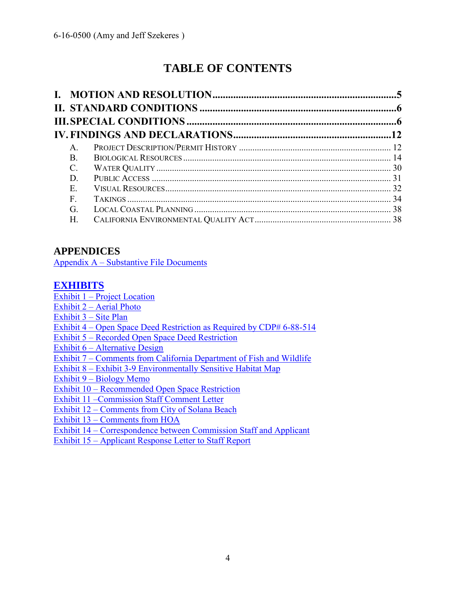# **TABLE OF CONTENTS**

| $A_{\cdot}$  |  |
|--------------|--|
| <b>B</b> .   |  |
| C.           |  |
| D.           |  |
| Е.           |  |
| $\mathbf{F}$ |  |
| G.           |  |
| Η.           |  |

# **APPENDICES**

Appendix A – [Substantive File Documents](#page-39-0)

# **[EXHIBITS](https://documents.coastal.ca.gov/reports/2017/7/Th20a/Th20a-7-2017-exhibits.pdf)**

Exhibit  $1 -$ Project Location

- Exhibit 2 [Aerial Photo](https://documents.coastal.ca.gov/reports/2017/7/Th20a/Th20a-7-2017-exhibits.pdf)
- [Exhibit 3 –](https://documents.coastal.ca.gov/reports/2017/7/Th20a/Th20a-7-2017-exhibits.pdf) Site Plan
- Exhibit 4 [Open Space Deed Restriction as Required by CDP# 6-88-514](https://documents.coastal.ca.gov/reports/2017/7/Th20a/Th20a-7-2017-exhibits.pdf)
- Exhibit 5 [Recorded Open Space Deed Restriction](https://documents.coastal.ca.gov/reports/2017/7/Th20a/Th20a-7-2017-exhibits.pdf)
- Exhibit 6 [Alternative Design](https://documents.coastal.ca.gov/reports/2017/7/Th20a/Th20a-7-2017-exhibits.pdf)

Exhibit 7 – [Comments from California Department of Fish and Wildlife](https://documents.coastal.ca.gov/reports/2017/7/Th20a/Th20a-7-2017-exhibits.pdf) 

- Exhibit 8 [Exhibit 3-9 Environmentally Sensitive Habitat Map](https://documents.coastal.ca.gov/reports/2017/7/Th20a/Th20a-7-2017-exhibits.pdf)
- Exhibit 9 [Biology Memo](https://documents.coastal.ca.gov/reports/2017/7/Th20a/Th20a-7-2017-exhibits.pdf)

Exhibit 10 – [Recommended Open Space Restriction](https://documents.coastal.ca.gov/reports/2017/7/Th20a/Th20a-7-2017-exhibits.pdf) 

- [Exhibit 11 –Commission Staff Comment Letter](https://documents.coastal.ca.gov/reports/2017/7/Th20a/Th20a-7-2017-exhibits.pdf)
- Exhibit 12 [Comments from City of Solana Beach](https://documents.coastal.ca.gov/reports/2017/7/Th20a/Th20a-7-2017-exhibits.pdf)
- Exhibit 13 [Comments from HOA](https://documents.coastal.ca.gov/reports/2017/7/Th20a/Th20a-7-2017-exhibits.pdf)

Exhibit 14 – [Correspondence between Commission Staff and Applicant](https://documents.coastal.ca.gov/reports/2017/7/Th20a/Th20a-7-2017-exhibits.pdf) 

Exhibit 15 – [Applicant Response Letter to Staff Report](https://documents.coastal.ca.gov/reports/2017/7/Th20a/Th20a-7-2017-exhibits.pdf)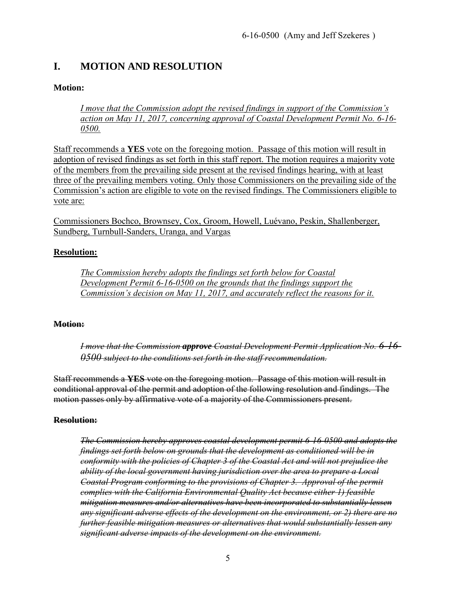# <span id="page-4-0"></span>**I. MOTION AND RESOLUTION**

## **Motion:**

*I move that the Commission adopt the revised findings in support of the Commission's action on May 11, 2017, concerning approval of Coastal Development Permit No. 6-16- 0500.*

Staff recommends a **YES** vote on the foregoing motion. Passage of this motion will result in adoption of revised findings as set forth in this staff report. The motion requires a majority vote of the members from the prevailing side present at the revised findings hearing, with at least three of the prevailing members voting. Only those Commissioners on the prevailing side of the Commission's action are eligible to vote on the revised findings. The Commissioners eligible to vote are:

Commissioners Bochco, Brownsey, Cox, Groom, Howell, Luévano, Peskin, Shallenberger, Sundberg, Turnbull-Sanders, Uranga, and Vargas

#### **Resolution:**

*The Commission hereby adopts the findings set forth below for Coastal Development Permit 6-16-0500 on the grounds that the findings support the Commission's decision on May 11, 2017, and accurately reflect the reasons for it.* 

#### **Motion:**

*I move that the Commission approve Coastal Development Permit Application No. 6-16- 0500 subject to the conditions set forth in the staff recommendation.* 

Staff recommends a **YES** vote on the foregoing motion. Passage of this motion will result in conditional approval of the permit and adoption of the following resolution and findings. The motion passes only by affirmative vote of a majority of the Commissioners present.

#### **Resolution:**

*The Commission hereby approves coastal development permit 6-16-0500 and adopts the findings set forth below on grounds that the development as conditioned will be in conformity with the policies of Chapter 3 of the Coastal Act and will not prejudice the ability of the local government having jurisdiction over the area to prepare a Local Coastal Program conforming to the provisions of Chapter 3. Approval of the permit complies with the California Environmental Quality Act because either 1) feasible mitigation measures and/or alternatives have been incorporated to substantially lessen any significant adverse effects of the development on the environment, or 2) there are no further feasible mitigation measures or alternatives that would substantially lessen any significant adverse impacts of the development on the environment.*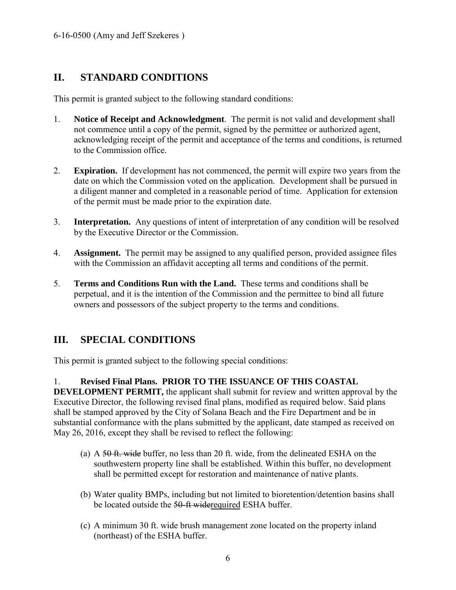# <span id="page-5-0"></span>**II. STANDARD CONDITIONS**

This permit is granted subject to the following standard conditions:

- 1. **Notice of Receipt and Acknowledgment**. The permit is not valid and development shall not commence until a copy of the permit, signed by the permittee or authorized agent, acknowledging receipt of the permit and acceptance of the terms and conditions, is returned to the Commission office.
- 2. **Expiration.** If development has not commenced, the permit will expire two years from the date on which the Commission voted on the application. Development shall be pursued in a diligent manner and completed in a reasonable period of time. Application for extension of the permit must be made prior to the expiration date.
- 3. **Interpretation.** Any questions of intent of interpretation of any condition will be resolved by the Executive Director or the Commission.
- 4. **Assignment.** The permit may be assigned to any qualified person, provided assignee files with the Commission an affidavit accepting all terms and conditions of the permit.
- 5. **Terms and Conditions Run with the Land.** These terms and conditions shall be perpetual, and it is the intention of the Commission and the permittee to bind all future owners and possessors of the subject property to the terms and conditions.

# <span id="page-5-1"></span>**III. SPECIAL CONDITIONS**

This permit is granted subject to the following special conditions:

1. **Revised Final Plans. PRIOR TO THE ISSUANCE OF THIS COASTAL** 

**DEVELOPMENT PERMIT,** the applicant shall submit for review and written approval by the Executive Director, the following revised final plans, modified as required below. Said plans shall be stamped approved by the City of Solana Beach and the Fire Department and be in substantial conformance with the plans submitted by the applicant, date stamped as received on May 26, 2016, except they shall be revised to reflect the following:

- (a) A  $50$  ft. wide buffer, no less than 20 ft. wide, from the delineated ESHA on the southwestern property line shall be established. Within this buffer, no development shall be permitted except for restoration and maintenance of native plants.
- (b) Water quality BMPs, including but not limited to bioretention/detention basins shall be located outside the 50-ft widerequired ESHA buffer.
- (c) A minimum 30 ft. wide brush management zone located on the property inland (northeast) of the ESHA buffer.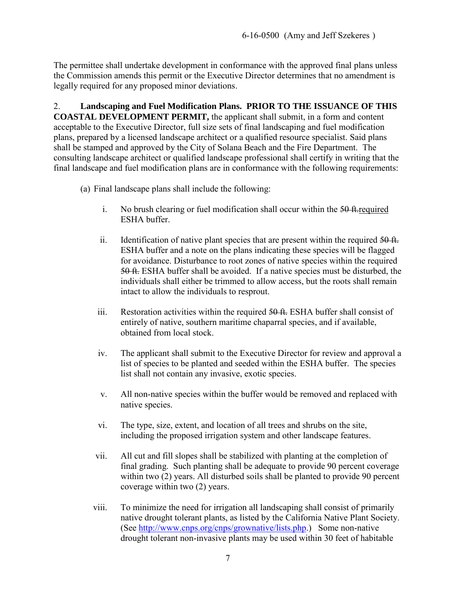The permittee shall undertake development in conformance with the approved final plans unless the Commission amends this permit or the Executive Director determines that no amendment is legally required for any proposed minor deviations.

2. **Landscaping and Fuel Modification Plans. PRIOR TO THE ISSUANCE OF THIS COASTAL DEVELOPMENT PERMIT,** the applicant shall submit, in a form and content acceptable to the Executive Director, full size sets of final landscaping and fuel modification plans, prepared by a licensed landscape architect or a qualified resource specialist. Said plans shall be stamped and approved by the City of Solana Beach and the Fire Department. The consulting landscape architect or qualified landscape professional shall certify in writing that the final landscape and fuel modification plans are in conformance with the following requirements:

- (a) Final landscape plans shall include the following:
	- i. No brush clearing or fuel modification shall occur within the  $50$  ft. required ESHA buffer.
	- ii. Identification of native plant species that are present within the required  $\frac{50 \text{ ft}}{20 \text{ ft}}$ . ESHA buffer and a note on the plans indicating these species will be flagged for avoidance. Disturbance to root zones of native species within the required 50 ft. ESHA buffer shall be avoided. If a native species must be disturbed, the individuals shall either be trimmed to allow access, but the roots shall remain intact to allow the individuals to resprout.
	- iii. Restoration activities within the required  $50 \text{ ft}$ . ESHA buffer shall consist of entirely of native, southern maritime chaparral species, and if available, obtained from local stock.
	- iv. The applicant shall submit to the Executive Director for review and approval a list of species to be planted and seeded within the ESHA buffer. The species list shall not contain any invasive, exotic species.
	- v. All non-native species within the buffer would be removed and replaced with native species.
	- vi. The type, size, extent, and location of all trees and shrubs on the site, including the proposed irrigation system and other landscape features.
	- vii. All cut and fill slopes shall be stabilized with planting at the completion of final grading. Such planting shall be adequate to provide 90 percent coverage within two (2) years. All disturbed soils shall be planted to provide 90 percent coverage within two (2) years.
	- viii. To minimize the need for irrigation all landscaping shall consist of primarily native drought tolerant plants, as listed by the California Native Plant Society. (See [http://www.cnps.org/cnps/grownative/lists.php.](http://www.cnps.org/cnps/grownative/lists.php)) Some non-native drought tolerant non-invasive plants may be used within 30 feet of habitable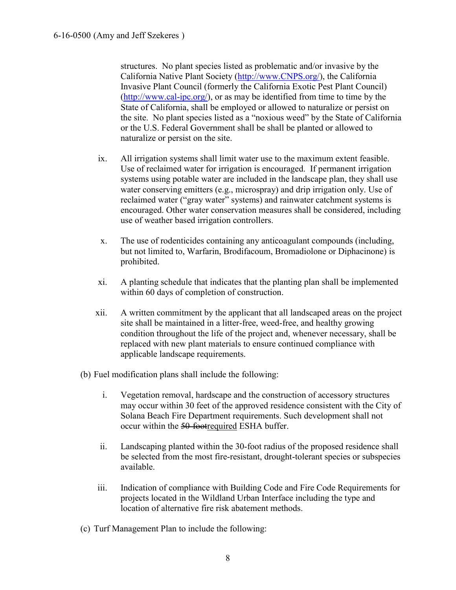structures. No plant species listed as problematic and/or invasive by the California Native Plant Society [\(http://www.CNPS.org/\)](http://www.cnps.org/), the California Invasive Plant Council (formerly the California Exotic Pest Plant Council) [\(http://www.cal-ipc.org/\)](http://www.cal-ipc.org/), or as may be identified from time to time by the State of California, shall be employed or allowed to naturalize or persist on the site. No plant species listed as a "noxious weed" by the State of California or the U.S. Federal Government shall be shall be planted or allowed to naturalize or persist on the site.

- ix. All irrigation systems shall limit water use to the maximum extent feasible. Use of reclaimed water for irrigation is encouraged. If permanent irrigation systems using potable water are included in the landscape plan, they shall use water conserving emitters (e.g., microspray) and drip irrigation only. Use of reclaimed water ("gray water" systems) and rainwater catchment systems is encouraged. Other water conservation measures shall be considered, including use of weather based irrigation controllers.
- x. The use of rodenticides containing any anticoagulant compounds (including, but not limited to, Warfarin, Brodifacoum, Bromadiolone or Diphacinone) is prohibited.
- xi. A planting schedule that indicates that the planting plan shall be implemented within 60 days of completion of construction.
- xii. A written commitment by the applicant that all landscaped areas on the project site shall be maintained in a litter-free, weed-free, and healthy growing condition throughout the life of the project and, whenever necessary, shall be replaced with new plant materials to ensure continued compliance with applicable landscape requirements.
- (b) Fuel modification plans shall include the following:
	- i. Vegetation removal, hardscape and the construction of accessory structures may occur within 30 feet of the approved residence consistent with the City of Solana Beach Fire Department requirements. Such development shall not occur within the 50-footrequired ESHA buffer.
	- ii. Landscaping planted within the 30-foot radius of the proposed residence shall be selected from the most fire-resistant, drought-tolerant species or subspecies available.
	- iii. Indication of compliance with Building Code and Fire Code Requirements for projects located in the Wildland Urban Interface including the type and location of alternative fire risk abatement methods.
- (c) Turf Management Plan to include the following: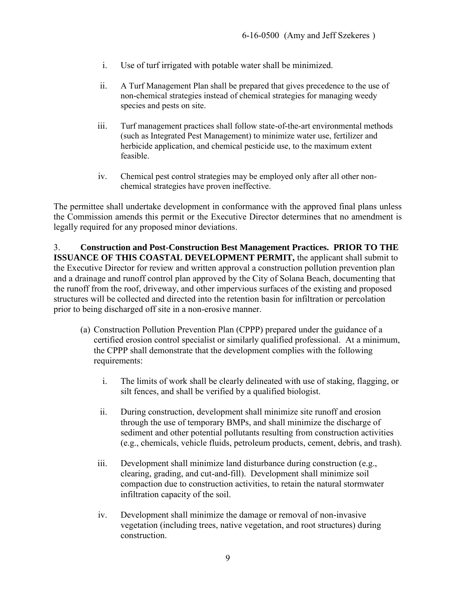- i. Use of turf irrigated with potable water shall be minimized.
- ii. A Turf Management Plan shall be prepared that gives precedence to the use of non-chemical strategies instead of chemical strategies for managing weedy species and pests on site.
- iii. Turf management practices shall follow state-of-the-art environmental methods (such as Integrated Pest Management) to minimize water use, fertilizer and herbicide application, and chemical pesticide use, to the maximum extent feasible.
- iv. Chemical pest control strategies may be employed only after all other nonchemical strategies have proven ineffective.

The permittee shall undertake development in conformance with the approved final plans unless the Commission amends this permit or the Executive Director determines that no amendment is legally required for any proposed minor deviations.

3. **Construction and Post-Construction Best Management Practices. PRIOR TO THE ISSUANCE OF THIS COASTAL DEVELOPMENT PERMIT,** the applicant shall submit to the Executive Director for review and written approval a construction pollution prevention plan and a drainage and runoff control plan approved by the City of Solana Beach, documenting that the runoff from the roof, driveway, and other impervious surfaces of the existing and proposed structures will be collected and directed into the retention basin for infiltration or percolation prior to being discharged off site in a non-erosive manner.

- (a) Construction Pollution Prevention Plan (CPPP) prepared under the guidance of a certified erosion control specialist or similarly qualified professional. At a minimum, the CPPP shall demonstrate that the development complies with the following requirements:
	- i. The limits of work shall be clearly delineated with use of staking, flagging, or silt fences, and shall be verified by a qualified biologist.
	- ii. During construction, development shall minimize site runoff and erosion through the use of temporary BMPs, and shall minimize the discharge of sediment and other potential pollutants resulting from construction activities (e.g., chemicals, vehicle fluids, petroleum products, cement, debris, and trash).
	- iii. Development shall minimize land disturbance during construction (e.g., clearing, grading, and cut-and-fill). Development shall minimize soil compaction due to construction activities, to retain the natural stormwater infiltration capacity of the soil.
	- iv. Development shall minimize the damage or removal of non-invasive vegetation (including trees, native vegetation, and root structures) during construction.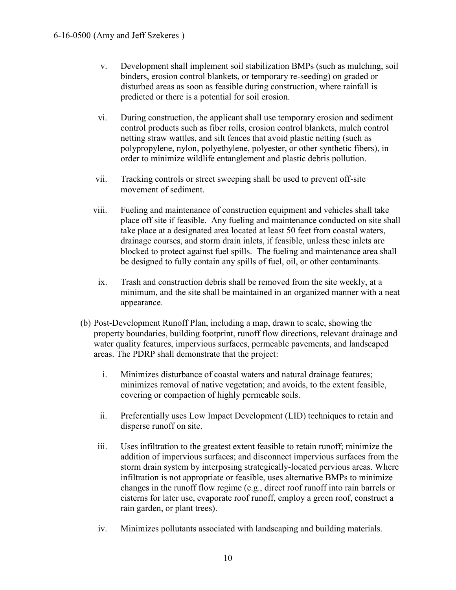- v. Development shall implement soil stabilization BMPs (such as mulching, soil binders, erosion control blankets, or temporary re-seeding) on graded or disturbed areas as soon as feasible during construction, where rainfall is predicted or there is a potential for soil erosion.
- vi. During construction, the applicant shall use temporary erosion and sediment control products such as fiber rolls, erosion control blankets, mulch control netting straw wattles, and silt fences that avoid plastic netting (such as polypropylene, nylon, polyethylene, polyester, or other synthetic fibers), in order to minimize wildlife entanglement and plastic debris pollution.
- vii. Tracking controls or street sweeping shall be used to prevent off-site movement of sediment.
- viii. Fueling and maintenance of construction equipment and vehicles shall take place off site if feasible. Any fueling and maintenance conducted on site shall take place at a designated area located at least 50 feet from coastal waters, drainage courses, and storm drain inlets, if feasible, unless these inlets are blocked to protect against fuel spills. The fueling and maintenance area shall be designed to fully contain any spills of fuel, oil, or other contaminants.
- ix. Trash and construction debris shall be removed from the site weekly, at a minimum, and the site shall be maintained in an organized manner with a neat appearance.
- (b) Post-Development Runoff Plan, including a map, drawn to scale, showing the property boundaries, building footprint, runoff flow directions, relevant drainage and water quality features, impervious surfaces, permeable pavements, and landscaped areas. The PDRP shall demonstrate that the project:
	- i. Minimizes disturbance of coastal waters and natural drainage features; minimizes removal of native vegetation; and avoids, to the extent feasible, covering or compaction of highly permeable soils.
	- ii. Preferentially uses Low Impact Development (LID) techniques to retain and disperse runoff on site.
	- iii. Uses infiltration to the greatest extent feasible to retain runoff; minimize the addition of impervious surfaces; and disconnect impervious surfaces from the storm drain system by interposing strategically-located pervious areas. Where infiltration is not appropriate or feasible, uses alternative BMPs to minimize changes in the runoff flow regime (e.g., direct roof runoff into rain barrels or cisterns for later use, evaporate roof runoff, employ a green roof, construct a rain garden, or plant trees).
	- iv. Minimizes pollutants associated with landscaping and building materials.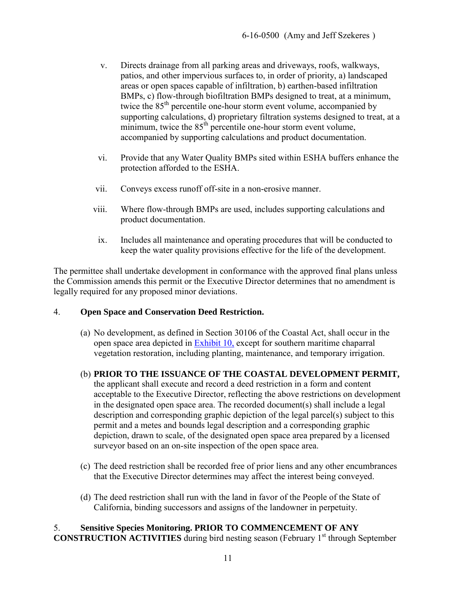- v. Directs drainage from all parking areas and driveways, roofs, walkways, patios, and other impervious surfaces to, in order of priority, a) landscaped areas or open spaces capable of infiltration, b) earthen-based infiltration BMPs, c) flow-through biofiltration BMPs designed to treat, at a minimum, twice the 85<sup>th</sup> percentile one-hour storm event volume, accompanied by supporting calculations, d) proprietary filtration systems designed to treat, at a minimum, twice the  $85<sup>th</sup>$  percentile one-hour storm event volume, accompanied by supporting calculations and product documentation.
- vi. Provide that any Water Quality BMPs sited within ESHA buffers enhance the protection afforded to the ESHA.
- vii. Conveys excess runoff off-site in a non-erosive manner.
- viii. Where flow-through BMPs are used, includes supporting calculations and product documentation.
- ix. Includes all maintenance and operating procedures that will be conducted to keep the water quality provisions effective for the life of the development.

The permittee shall undertake development in conformance with the approved final plans unless the Commission amends this permit or the Executive Director determines that no amendment is legally required for any proposed minor deviations.

#### 4. **Open Space and Conservation Deed Restriction.**

(a) No development, as defined in Section 30106 of the Coastal Act, shall occur in the open space area depicted in **Exhibit 10**, except for southern maritime chaparral vegetation restoration, including planting, maintenance, and temporary irrigation.

## (b) **PRIOR TO THE ISSUANCE OF THE COASTAL DEVELOPMENT PERMIT,**

the applicant shall execute and record a deed restriction in a form and content acceptable to the Executive Director, reflecting the above restrictions on development in the designated open space area. The recorded document(s) shall include a legal description and corresponding graphic depiction of the legal parcel(s) subject to this permit and a metes and bounds legal description and a corresponding graphic depiction, drawn to scale, of the designated open space area prepared by a licensed surveyor based on an on-site inspection of the open space area.

- (c) The deed restriction shall be recorded free of prior liens and any other encumbrances that the Executive Director determines may affect the interest being conveyed.
- (d) The deed restriction shall run with the land in favor of the People of the State of California, binding successors and assigns of the landowner in perpetuity.

#### 5. **Sensitive Species Monitoring. PRIOR TO COMMENCEMENT OF ANY CONSTRUCTION ACTIVITIES** during bird nesting season (February 1<sup>st</sup> through September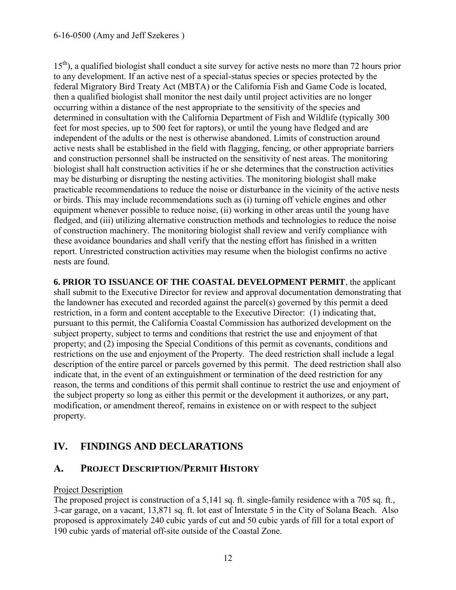$15<sup>th</sup>$ ), a qualified biologist shall conduct a site survey for active nests no more than 72 hours prior to any development. If an active nest of a special-status species or species protected by the federal Migratory Bird Treaty Act (MBTA) or the California Fish and Game Code is located, then a qualified biologist shall monitor the nest daily until project activities are no longer occurring within a distance of the nest appropriate to the sensitivity of the species and determined in consultation with the California Department of Fish and Wildlife (typically 300 feet for most species, up to 500 feet for raptors), or until the young have fledged and are independent of the adults or the nest is otherwise abandoned. Limits of construction around active nests shall be established in the field with flagging, fencing, or other appropriate barriers and construction personnel shall be instructed on the sensitivity of nest areas. The monitoring biologist shall halt construction activities if he or she determines that the construction activities may be disturbing or disrupting the nesting activities. The monitoring biologist shall make practicable recommendations to reduce the noise or disturbance in the vicinity of the active nests or birds. This may include recommendations such as (i) turning off vehicle engines and other equipment whenever possible to reduce noise, (ii) working in other areas until the young have fledged, and (iii) utilizing alternative construction methods and technologies to reduce the noise of construction machinery. The monitoring biologist shall review and verify compliance with these avoidance boundaries and shall verify that the nesting effort has finished in a written report. Unrestricted construction activities may resume when the biologist confirms no active nests are found.

**6. PRIOR TO ISSUANCE OF THE COASTAL DEVELOPMENT PERMIT**, the applicant shall submit to the Executive Director for review and approval documentation demonstrating that the landowner has executed and recorded against the parcel(s) governed by this permit a deed restriction, in a form and content acceptable to the Executive Director: (1) indicating that, pursuant to this permit, the California Coastal Commission has authorized development on the subject property, subject to terms and conditions that restrict the use and enjoyment of that property; and (2) imposing the Special Conditions of this permit as covenants, conditions and restrictions on the use and enjoyment of the Property. The deed restriction shall include a legal description of the entire parcel or parcels governed by this permit. The deed restriction shall also indicate that, in the event of an extinguishment or termination of the deed restriction for any reason, the terms and conditions of this permit shall continue to restrict the use and enjoyment of the subject property so long as either this permit or the development it authorizes, or any part, modification, or amendment thereof, remains in existence on or with respect to the subject property.

# <span id="page-11-0"></span>**IV. FINDINGS AND DECLARATIONS**

# <span id="page-11-1"></span>**A. PROJECT DESCRIPTION/PERMIT HISTORY**

## Project Description

The proposed project is construction of a 5,141 sq. ft. single-family residence with a 705 sq. ft., 3-car garage, on a vacant, 13,871 sq. ft. lot east of Interstate 5 in the City of Solana Beach. Also proposed is approximately 240 cubic yards of cut and 50 cubic yards of fill for a total export of 190 cubic yards of material off-site outside of the Coastal Zone.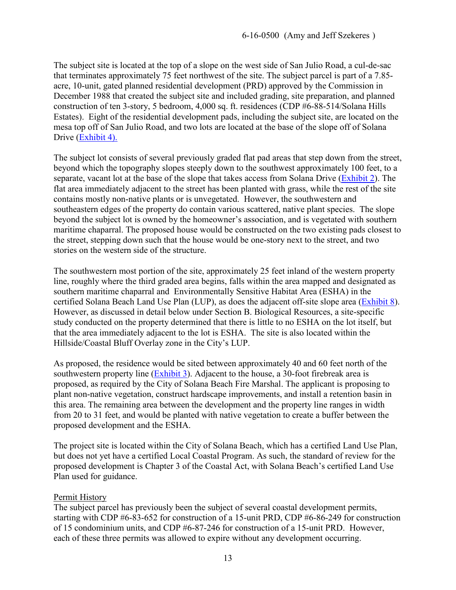The subject site is located at the top of a slope on the west side of San Julio Road, a cul-de-sac that terminates approximately 75 feet northwest of the site. The subject parcel is part of a 7.85 acre, 10-unit, gated planned residential development (PRD) approved by the Commission in December 1988 that created the subject site and included grading, site preparation, and planned construction of ten 3-story, 5 bedroom, 4,000 sq. ft. residences (CDP #6-88-514/Solana Hills Estates). Eight of the residential development pads, including the subject site, are located on the mesa top off of San Julio Road, and two lots are located at the base of the slope off of Solana Drive (Exhibit 4).

The subject lot consists of several previously graded flat pad areas that step down from the street, beyond which the topography slopes steeply down to the southwest approximately 100 feet, to a separate, vacant lot at the base of the slope that takes access from Solana Drive [\(Exhibit 2\)](https://documents.coastal.ca.gov/reports/2017/7/Th20a/Th20a-7-2017-exhibits.pdf). The flat area immediately adjacent to the street has been planted with grass, while the rest of the site contains mostly non-native plants or is unvegetated. However, the southwestern and southeastern edges of the property do contain various scattered, native plant species. The slope beyond the subject lot is owned by the homeowner's association, and is vegetated with southern maritime chaparral. The proposed house would be constructed on the two existing pads closest to the street, stepping down such that the house would be one-story next to the street, and two stories on the western side of the structure.

The southwestern most portion of the site, approximately 25 feet inland of the western property line, roughly where the third graded area begins, falls within the area mapped and designated as southern maritime chaparral and Environmentally Sensitive Habitat Area (ESHA) in the certified Solana Beach Land Use Plan (LUP), as does the adjacent off-site slope area [\(Exhibit 8\)](https://documents.coastal.ca.gov/reports/2017/7/Th20a/Th20a-7-2017-exhibits.pdf). However, as discussed in detail below under Section B. Biological Resources, a site-specific study conducted on the property determined that there is little to no ESHA on the lot itself, but that the area immediately adjacent to the lot is ESHA. The site is also located within the Hillside/Coastal Bluff Overlay zone in the City's LUP.

As proposed, the residence would be sited between approximately 40 and 60 feet north of the southwestern property line [\(Exhibit 3\)](https://documents.coastal.ca.gov/reports/2017/7/Th20a/Th20a-7-2017-exhibits.pdf). Adjacent to the house, a 30-foot firebreak area is proposed, as required by the City of Solana Beach Fire Marshal. The applicant is proposing to plant non-native vegetation, construct hardscape improvements, and install a retention basin in this area. The remaining area between the development and the property line ranges in width from 20 to 31 feet, and would be planted with native vegetation to create a buffer between the proposed development and the ESHA.

The project site is located within the City of Solana Beach, which has a certified Land Use Plan, but does not yet have a certified Local Coastal Program. As such, the standard of review for the proposed development is Chapter 3 of the Coastal Act, with Solana Beach's certified Land Use Plan used for guidance.

#### Permit History

The subject parcel has previously been the subject of several coastal development permits, starting with CDP #6-83-652 for construction of a 15-unit PRD, CDP #6-86-249 for construction of 15 condominium units, and CDP #6-87-246 for construction of a 15-unit PRD. However, each of these three permits was allowed to expire without any development occurring.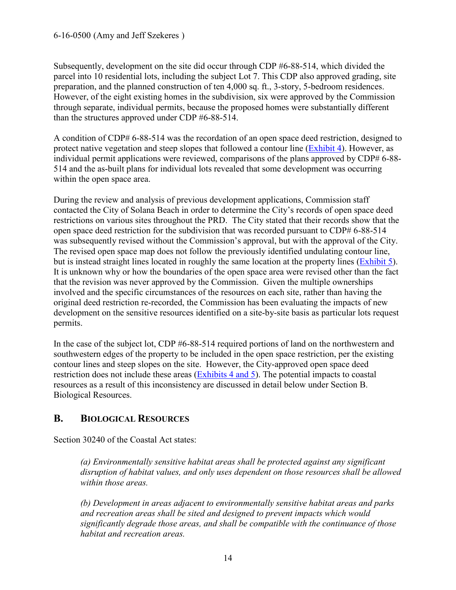Subsequently, development on the site did occur through CDP #6-88-514, which divided the parcel into 10 residential lots, including the subject Lot 7. This CDP also approved grading, site preparation, and the planned construction of ten 4,000 sq. ft., 3-story, 5-bedroom residences. However, of the eight existing homes in the subdivision, six were approved by the Commission through separate, individual permits, because the proposed homes were substantially different than the structures approved under CDP #6-88-514.

A condition of CDP# 6-88-514 was the recordation of an open space deed restriction, designed to protect native vegetation and steep slopes that followed a contour line [\(Exhibit 4\)](https://documents.coastal.ca.gov/reports/2017/7/Th20a/Th20a-7-2017-exhibits.pdf). However, as individual permit applications were reviewed, comparisons of the plans approved by CDP# 6-88-514 and the as-built plans for individual lots revealed that some development was occurring within the open space area.

During the review and analysis of previous development applications, Commission staff contacted the City of Solana Beach in order to determine the City's records of open space deed restrictions on various sites throughout the PRD. The City stated that their records show that the open space deed restriction for the subdivision that was recorded pursuant to CDP# 6-88-514 was subsequently revised without the Commission's approval, but with the approval of the City. The revised open space map does not follow the previously identified undulating contour line, but is instead straight lines located in roughly the same location at the property lines [\(Exhibit 5\)](https://documents.coastal.ca.gov/reports/2017/7/Th20a/Th20a-7-2017-exhibits.pdf). It is unknown why or how the boundaries of the open space area were revised other than the fact that the revision was never approved by the Commission. Given the multiple ownerships involved and the specific circumstances of the resources on each site, rather than having the original deed restriction re-recorded, the Commission has been evaluating the impacts of new development on the sensitive resources identified on a site-by-site basis as particular lots request permits.

In the case of the subject lot, CDP #6-88-514 required portions of land on the northwestern and southwestern edges of the property to be included in the open space restriction, per the existing contour lines and steep slopes on the site. However, the City-approved open space deed restriction does not include these areas [\(Exhibits 4 and 5\)](https://documents.coastal.ca.gov/reports/2017/7/Th20a/Th20a-7-2017-exhibits.pdf). The potential impacts to coastal resources as a result of this inconsistency are discussed in detail below under Section B. Biological Resources.

# <span id="page-13-0"></span>**B. BIOLOGICAL RESOURCES**

Section 30240 of the Coastal Act states:

*(a) Environmentally sensitive habitat areas shall be protected against any significant disruption of habitat values, and only uses dependent on those resources shall be allowed within those areas.* 

*(b) Development in areas adjacent to environmentally sensitive habitat areas and parks and recreation areas shall be sited and designed to prevent impacts which would significantly degrade those areas, and shall be compatible with the continuance of those habitat and recreation areas.*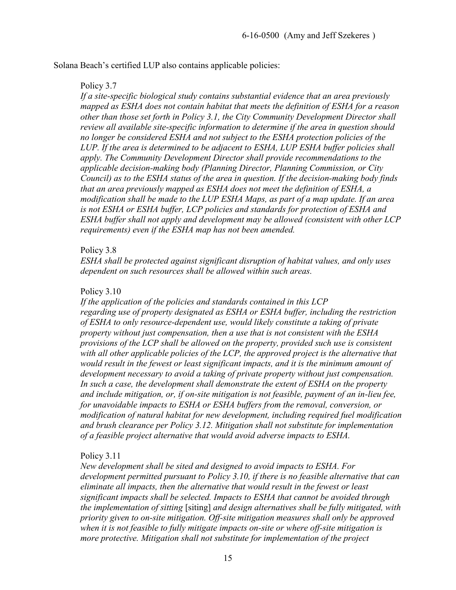Solana Beach's certified LUP also contains applicable policies:

#### Policy 3.7

*If a site-specific biological study contains substantial evidence that an area previously mapped as ESHA does not contain habitat that meets the definition of ESHA for a reason other than those set forth in Policy 3.1, the City Community Development Director shall review all available site-specific information to determine if the area in question should no longer be considered ESHA and not subject to the ESHA protection policies of the LUP. If the area is determined to be adjacent to ESHA, LUP ESHA buffer policies shall apply. The Community Development Director shall provide recommendations to the applicable decision-making body (Planning Director, Planning Commission, or City Council) as to the ESHA status of the area in question. If the decision-making body finds that an area previously mapped as ESHA does not meet the definition of ESHA, a modification shall be made to the LUP ESHA Maps, as part of a map update. If an area is not ESHA or ESHA buffer, LCP policies and standards for protection of ESHA and ESHA buffer shall not apply and development may be allowed (consistent with other LCP requirements) even if the ESHA map has not been amended.* 

#### Policy 3.8

*ESHA shall be protected against significant disruption of habitat values, and only uses dependent on such resources shall be allowed within such areas.*

#### Policy 3.10

*If the application of the policies and standards contained in this LCP regarding use of property designated as ESHA or ESHA buffer, including the restriction of ESHA to only resource-dependent use, would likely constitute a taking of private property without just compensation, then a use that is not consistent with the ESHA provisions of the LCP shall be allowed on the property, provided such use is consistent with all other applicable policies of the LCP, the approved project is the alternative that would result in the fewest or least significant impacts, and it is the minimum amount of development necessary to avoid a taking of private property without just compensation. In such a case, the development shall demonstrate the extent of ESHA on the property and include mitigation, or, if on-site mitigation is not feasible, payment of an in-lieu fee, for unavoidable impacts to ESHA or ESHA buffers from the removal, conversion, or modification of natural habitat for new development, including required fuel modification and brush clearance per Policy 3.12. Mitigation shall not substitute for implementation of a feasible project alternative that would avoid adverse impacts to ESHA.* 

## Policy 3.11

*New development shall be sited and designed to avoid impacts to ESHA. For development permitted pursuant to Policy 3.10, if there is no feasible alternative that can eliminate all impacts, then the alternative that would result in the fewest or least significant impacts shall be selected. Impacts to ESHA that cannot be avoided through the implementation of sitting* [siting] *and design alternatives shall be fully mitigated, with priority given to on-site mitigation. Off-site mitigation measures shall only be approved when it is not feasible to fully mitigate impacts on-site or where off-site mitigation is more protective. Mitigation shall not substitute for implementation of the project*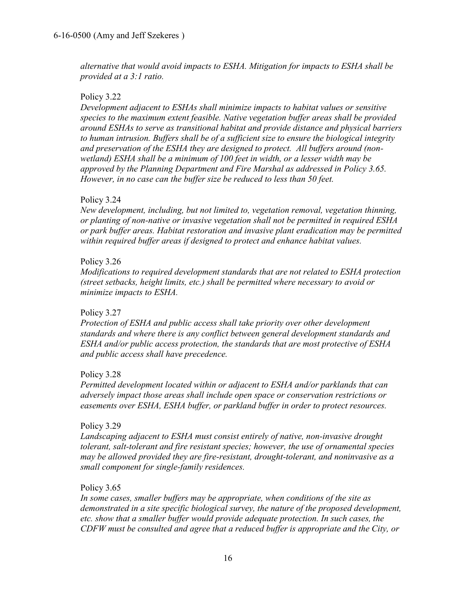*alternative that would avoid impacts to ESHA. Mitigation for impacts to ESHA shall be provided at a 3:1 ratio.* 

#### Policy 3.22

*Development adjacent to ESHAs shall minimize impacts to habitat values or sensitive species to the maximum extent feasible. Native vegetation buffer areas shall be provided around ESHAs to serve as transitional habitat and provide distance and physical barriers to human intrusion. Buffers shall be of a sufficient size to ensure the biological integrity and preservation of the ESHA they are designed to protect. All buffers around (nonwetland) ESHA shall be a minimum of 100 feet in width, or a lesser width may be approved by the Planning Department and Fire Marshal as addressed in Policy 3.65. However, in no case can the buffer size be reduced to less than 50 feet.* 

#### Policy 3.24

*New development, including, but not limited to, vegetation removal, vegetation thinning, or planting of non-native or invasive vegetation shall not be permitted in required ESHA or park buffer areas. Habitat restoration and invasive plant eradication may be permitted within required buffer areas if designed to protect and enhance habitat values.*

#### Policy 3.26

*Modifications to required development standards that are not related to ESHA protection (street setbacks, height limits, etc.) shall be permitted where necessary to avoid or minimize impacts to ESHA.* 

#### Policy 3.27

*Protection of ESHA and public access shall take priority over other development standards and where there is any conflict between general development standards and ESHA and/or public access protection, the standards that are most protective of ESHA and public access shall have precedence.* 

#### Policy 3.28

*Permitted development located within or adjacent to ESHA and/or parklands that can adversely impact those areas shall include open space or conservation restrictions or easements over ESHA, ESHA buffer, or parkland buffer in order to protect resources.* 

#### Policy 3.29

*Landscaping adjacent to ESHA must consist entirely of native, non-invasive drought tolerant, salt-tolerant and fire resistant species; however, the use of ornamental species may be allowed provided they are fire-resistant, drought-tolerant, and noninvasive as a small component for single-family residences.* 

#### Policy 3.65

*In some cases, smaller buffers may be appropriate, when conditions of the site as demonstrated in a site specific biological survey, the nature of the proposed development, etc. show that a smaller buffer would provide adequate protection. In such cases, the CDFW must be consulted and agree that a reduced buffer is appropriate and the City, or*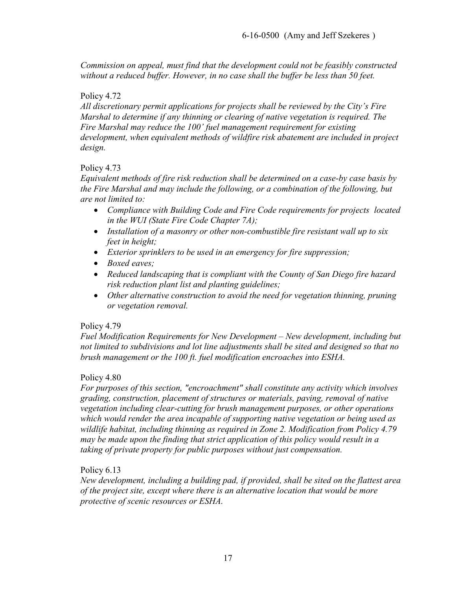*Commission on appeal, must find that the development could not be feasibly constructed*  without a reduced buffer. However, in no case shall the buffer be less than 50 feet.

#### Policy 4.72

*All discretionary permit applications for projects shall be reviewed by the City's Fire Marshal to determine if any thinning or clearing of native vegetation is required. The Fire Marshal may reduce the 100' fuel management requirement for existing development, when equivalent methods of wildfire risk abatement are included in project design.* 

#### Policy 4.73

*Equivalent methods of fire risk reduction shall be determined on a case-by case basis by the Fire Marshal and may include the following, or a combination of the following, but are not limited to:* 

- *Compliance with Building Code and Fire Code requirements for projects located in the WUI (State Fire Code Chapter 7A);*
- *Installation of a masonry or other non-combustible fire resistant wall up to six feet in height;*
- *Exterior sprinklers to be used in an emergency for fire suppression;*
- *Boxed eaves;*
- *Reduced landscaping that is compliant with the County of San Diego fire hazard risk reduction plant list and planting guidelines;*
- *Other alternative construction to avoid the need for vegetation thinning, pruning or vegetation removal.*

## Policy 4.79

*Fuel Modification Requirements for New Development – New development, including but not limited to subdivisions and lot line adjustments shall be sited and designed so that no brush management or the 100 ft. fuel modification encroaches into ESHA.* 

## Policy 4.80

*For purposes of this section, "encroachment" shall constitute any activity which involves grading, construction, placement of structures or materials, paving, removal of native vegetation including clear-cutting for brush management purposes, or other operations which would render the area incapable of supporting native vegetation or being used as wildlife habitat, including thinning as required in Zone 2. Modification from Policy 4.79 may be made upon the finding that strict application of this policy would result in a taking of private property for public purposes without just compensation.* 

## Policy 6.13

*New development, including a building pad, if provided, shall be sited on the flattest area of the project site, except where there is an alternative location that would be more protective of scenic resources or ESHA.*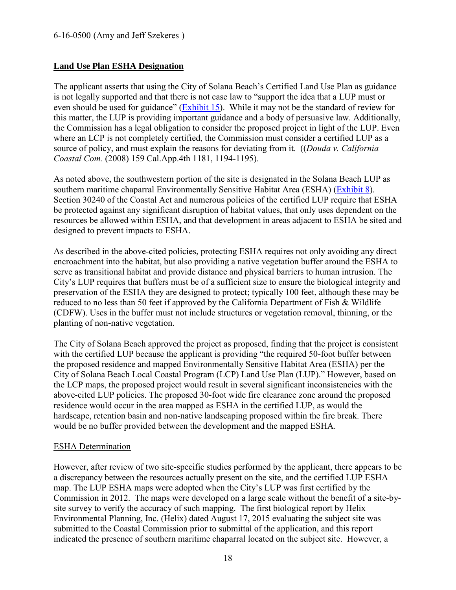## **Land Use Plan ESHA Designation**

The applicant asserts that using the City of Solana Beach's Certified Land Use Plan as guidance is not legally supported and that there is not case law to "support the idea that a LUP must or even should be used for guidance" [\(Exhibit 15\)](https://documents.coastal.ca.gov/reports/2017/7/Th20a/Th20a-7-2017-exhibits.pdf). While it may not be the standard of review for this matter, the LUP is providing important guidance and a body of persuasive law. Additionally, the Commission has a legal obligation to consider the proposed project in light of the LUP. Even where an LCP is not completely certified, the Commission must consider a certified LUP as a source of policy, and must explain the reasons for deviating from it. ((*Douda v. California Coastal Com.* (2008) 159 Cal.App.4th 1181, 1194-1195).

As noted above, the southwestern portion of the site is designated in the Solana Beach LUP as southern maritime chaparral Environmentally Sensitive Habitat Area (ESHA) [\(Exhibit 8\)](https://documents.coastal.ca.gov/reports/2017/7/Th20a/Th20a-7-2017-exhibits.pdf). Section 30240 of the Coastal Act and numerous policies of the certified LUP require that ESHA be protected against any significant disruption of habitat values, that only uses dependent on the resources be allowed within ESHA, and that development in areas adjacent to ESHA be sited and designed to prevent impacts to ESHA.

As described in the above-cited policies, protecting ESHA requires not only avoiding any direct encroachment into the habitat, but also providing a native vegetation buffer around the ESHA to serve as transitional habitat and provide distance and physical barriers to human intrusion. The City's LUP requires that buffers must be of a sufficient size to ensure the biological integrity and preservation of the ESHA they are designed to protect; typically 100 feet, although these may be reduced to no less than 50 feet if approved by the California Department of Fish & Wildlife (CDFW). Uses in the buffer must not include structures or vegetation removal, thinning, or the planting of non-native vegetation.

The City of Solana Beach approved the project as proposed, finding that the project is consistent with the certified LUP because the applicant is providing "the required 50-foot buffer between the proposed residence and mapped Environmentally Sensitive Habitat Area (ESHA) per the City of Solana Beach Local Coastal Program (LCP) Land Use Plan (LUP)." However, based on the LCP maps, the proposed project would result in several significant inconsistencies with the above-cited LUP policies. The proposed 30-foot wide fire clearance zone around the proposed residence would occur in the area mapped as ESHA in the certified LUP, as would the hardscape, retention basin and non-native landscaping proposed within the fire break. There would be no buffer provided between the development and the mapped ESHA.

## ESHA Determination

However, after review of two site-specific studies performed by the applicant, there appears to be a discrepancy between the resources actually present on the site, and the certified LUP ESHA map. The LUP ESHA maps were adopted when the City's LUP was first certified by the Commission in 2012. The maps were developed on a large scale without the benefit of a site-bysite survey to verify the accuracy of such mapping. The first biological report by Helix Environmental Planning, Inc. (Helix) dated August 17, 2015 evaluating the subject site was submitted to the Coastal Commission prior to submittal of the application, and this report indicated the presence of southern maritime chaparral located on the subject site. However, a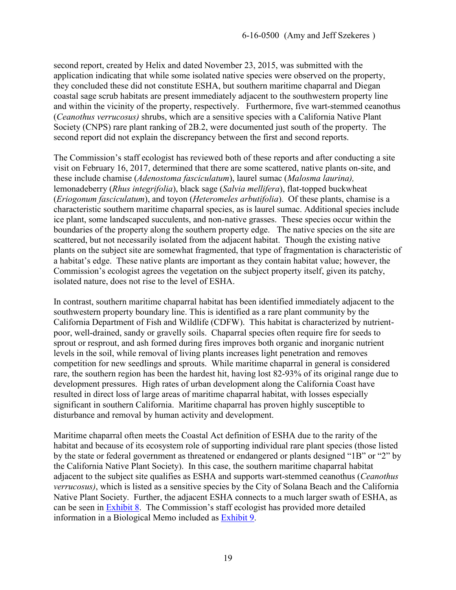second report, created by Helix and dated November 23, 2015, was submitted with the application indicating that while some isolated native species were observed on the property, they concluded these did not constitute ESHA, but southern maritime chaparral and Diegan coastal sage scrub habitats are present immediately adjacent to the southwestern property line and within the vicinity of the property, respectively. Furthermore, five wart-stemmed ceanothus (*Ceanothus verrucosus)* shrubs, which are a sensitive species with a California Native Plant Society (CNPS) rare plant ranking of 2B.2, were documented just south of the property. The second report did not explain the discrepancy between the first and second reports.

The Commission's staff ecologist has reviewed both of these reports and after conducting a site visit on February 16, 2017, determined that there are some scattered, native plants on-site, and these include chamise (*Adenostoma fasciculatum*), laurel sumac (*Malosma laurina),* lemonadeberry (*Rhus integrifolia*), black sage (*Salvia mellifera*), flat-topped buckwheat (*Eriogonum fasciculatum*), and toyon (*Heteromeles arbutifolia*). Of these plants, chamise is a characteristic southern maritime chaparral species, as is laurel sumac. Additional species include ice plant, some landscaped succulents, and non-native grasses. These species occur within the boundaries of the property along the southern property edge. The native species on the site are scattered, but not necessarily isolated from the adjacent habitat. Though the existing native plants on the subject site are somewhat fragmented, that type of fragmentation is characteristic of a habitat's edge. These native plants are important as they contain habitat value; however, the Commission's ecologist agrees the vegetation on the subject property itself, given its patchy, isolated nature, does not rise to the level of ESHA.

In contrast, southern maritime chaparral habitat has been identified immediately adjacent to the southwestern property boundary line. This is identified as a rare plant community by the California Department of Fish and Wildlife (CDFW). This habitat is characterized by nutrientpoor, well-drained, sandy or gravelly soils. Chaparral species often require fire for seeds to sprout or resprout, and ash formed during fires improves both organic and inorganic nutrient levels in the soil, while removal of living plants increases light penetration and removes competition for new seedlings and sprouts. While maritime chaparral in general is considered rare, the southern region has been the hardest hit, having lost 82-93% of its original range due to development pressures. High rates of urban development along the California Coast have resulted in direct loss of large areas of maritime chaparral habitat, with losses especially significant in southern California. Maritime chaparral has proven highly susceptible to disturbance and removal by human activity and development.

Maritime chaparral often meets the Coastal Act definition of ESHA due to the rarity of the habitat and because of its ecosystem role of supporting individual rare plant species (those listed by the state or federal government as threatened or endangered or plants designed "1B" or "2" by the California Native Plant Society). In this case, the southern maritime chaparral habitat adjacent to the subject site qualifies as ESHA and supports wart-stemmed ceanothus (*Ceanothus verrucosus)*, which is listed as a sensitive species by the City of Solana Beach and the California Native Plant Society. Further, the adjacent ESHA connects to a much larger swath of ESHA, as can be seen in [Exhibit 8.](https://documents.coastal.ca.gov/reports/2017/7/Th20a/Th20a-7-2017-exhibits.pdf) The Commission's staff ecologist has provided more detailed information in a Biological Memo included as [Exhibit 9.](https://documents.coastal.ca.gov/reports/2017/7/Th20a/Th20a-7-2017-exhibits.pdf)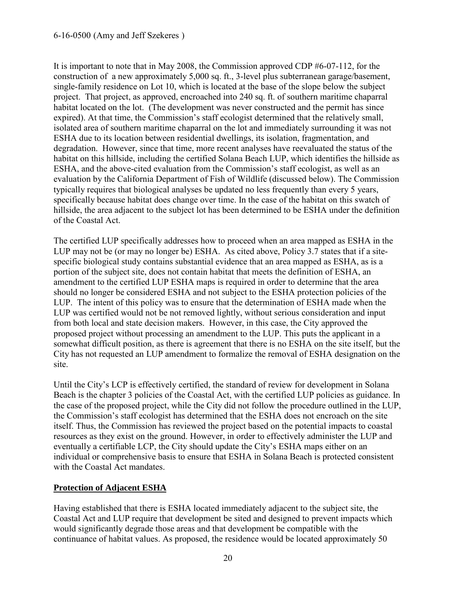#### 6-16-0500 (Amy and Jeff Szekeres )

It is important to note that in May 2008, the Commission approved CDP #6-07-112, for the construction of a new approximately 5,000 sq. ft., 3-level plus subterranean garage/basement, single-family residence on Lot 10, which is located at the base of the slope below the subject project. That project, as approved, encroached into 240 sq. ft. of southern maritime chaparral habitat located on the lot. (The development was never constructed and the permit has since expired). At that time, the Commission's staff ecologist determined that the relatively small, isolated area of southern maritime chaparral on the lot and immediately surrounding it was not ESHA due to its location between residential dwellings, its isolation, fragmentation, and degradation. However, since that time, more recent analyses have reevaluated the status of the habitat on this hillside, including the certified Solana Beach LUP, which identifies the hillside as ESHA, and the above-cited evaluation from the Commission's staff ecologist, as well as an evaluation by the California Department of Fish of Wildlife (discussed below). The Commission typically requires that biological analyses be updated no less frequently than every 5 years, specifically because habitat does change over time. In the case of the habitat on this swatch of hillside, the area adjacent to the subject lot has been determined to be ESHA under the definition of the Coastal Act.

The certified LUP specifically addresses how to proceed when an area mapped as ESHA in the LUP may not be (or may no longer be) ESHA. As cited above, Policy 3.7 states that if a sitespecific biological study contains substantial evidence that an area mapped as ESHA, as is a portion of the subject site, does not contain habitat that meets the definition of ESHA, an amendment to the certified LUP ESHA maps is required in order to determine that the area should no longer be considered ESHA and not subject to the ESHA protection policies of the LUP. The intent of this policy was to ensure that the determination of ESHA made when the LUP was certified would not be not removed lightly, without serious consideration and input from both local and state decision makers. However, in this case, the City approved the proposed project without processing an amendment to the LUP. This puts the applicant in a somewhat difficult position, as there is agreement that there is no ESHA on the site itself, but the City has not requested an LUP amendment to formalize the removal of ESHA designation on the site.

Until the City's LCP is effectively certified, the standard of review for development in Solana Beach is the chapter 3 policies of the Coastal Act, with the certified LUP policies as guidance. In the case of the proposed project, while the City did not follow the procedure outlined in the LUP, the Commission's staff ecologist has determined that the ESHA does not encroach on the site itself. Thus, the Commission has reviewed the project based on the potential impacts to coastal resources as they exist on the ground. However, in order to effectively administer the LUP and eventually a certifiable LCP, the City should update the City's ESHA maps either on an individual or comprehensive basis to ensure that ESHA in Solana Beach is protected consistent with the Coastal Act mandates.

## **Protection of Adjacent ESHA**

Having established that there is ESHA located immediately adjacent to the subject site, the Coastal Act and LUP require that development be sited and designed to prevent impacts which would significantly degrade those areas and that development be compatible with the continuance of habitat values. As proposed, the residence would be located approximately 50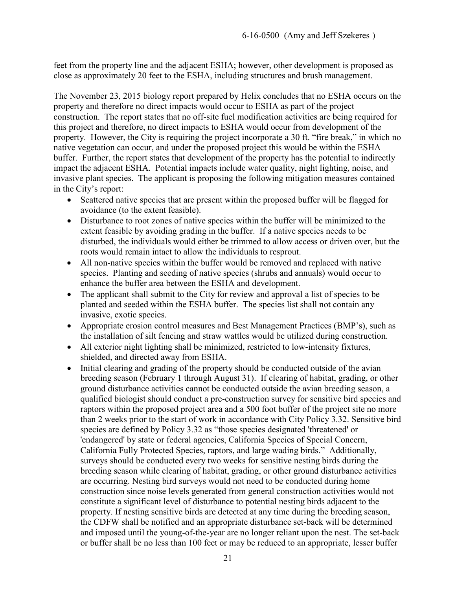feet from the property line and the adjacent ESHA; however, other development is proposed as close as approximately 20 feet to the ESHA, including structures and brush management.

The November 23, 2015 biology report prepared by Helix concludes that no ESHA occurs on the property and therefore no direct impacts would occur to ESHA as part of the project construction. The report states that no off-site fuel modification activities are being required for this project and therefore, no direct impacts to ESHA would occur from development of the property. However, the City is requiring the project incorporate a 30 ft. "fire break," in which no native vegetation can occur, and under the proposed project this would be within the ESHA buffer. Further, the report states that development of the property has the potential to indirectly impact the adjacent ESHA. Potential impacts include water quality, night lighting, noise, and invasive plant species. The applicant is proposing the following mitigation measures contained in the City's report:

- Scattered native species that are present within the proposed buffer will be flagged for avoidance (to the extent feasible).
- Disturbance to root zones of native species within the buffer will be minimized to the extent feasible by avoiding grading in the buffer. If a native species needs to be disturbed, the individuals would either be trimmed to allow access or driven over, but the roots would remain intact to allow the individuals to resprout.
- All non-native species within the buffer would be removed and replaced with native species. Planting and seeding of native species (shrubs and annuals) would occur to enhance the buffer area between the ESHA and development.
- The applicant shall submit to the City for review and approval a list of species to be planted and seeded within the ESHA buffer. The species list shall not contain any invasive, exotic species.
- Appropriate erosion control measures and Best Management Practices (BMP's), such as the installation of silt fencing and straw wattles would be utilized during construction.
- All exterior night lighting shall be minimized, restricted to low-intensity fixtures, shielded, and directed away from ESHA.
- Initial clearing and grading of the property should be conducted outside of the avian breeding season (February 1 through August 31). If clearing of habitat, grading, or other ground disturbance activities cannot be conducted outside the avian breeding season, a qualified biologist should conduct a pre-construction survey for sensitive bird species and raptors within the proposed project area and a 500 foot buffer of the project site no more than 2 weeks prior to the start of work in accordance with City Policy 3.32. Sensitive bird species are defined by Policy 3.32 as "those species designated 'threatened' or 'endangered' by state or federal agencies, California Species of Special Concern, California Fully Protected Species, raptors, and large wading birds." Additionally, surveys should be conducted every two weeks for sensitive nesting birds during the breeding season while clearing of habitat, grading, or other ground disturbance activities are occurring. Nesting bird surveys would not need to be conducted during home construction since noise levels generated from general construction activities would not constitute a significant level of disturbance to potential nesting birds adjacent to the property. If nesting sensitive birds are detected at any time during the breeding season, the CDFW shall be notified and an appropriate disturbance set-back will be determined and imposed until the young-of-the-year are no longer reliant upon the nest. The set-back or buffer shall be no less than 100 feet or may be reduced to an appropriate, lesser buffer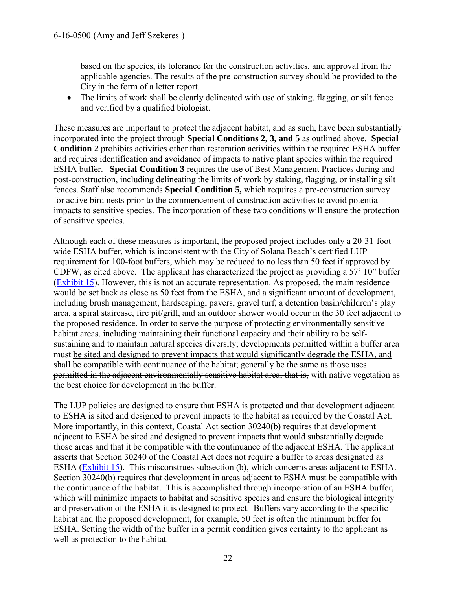based on the species, its tolerance for the construction activities, and approval from the applicable agencies. The results of the pre-construction survey should be provided to the City in the form of a letter report.

 The limits of work shall be clearly delineated with use of staking, flagging, or silt fence and verified by a qualified biologist.

These measures are important to protect the adjacent habitat, and as such, have been substantially incorporated into the project through **Special Conditions 2, 3, and 5** as outlined above. **Special Condition 2** prohibits activities other than restoration activities within the required ESHA buffer and requires identification and avoidance of impacts to native plant species within the required ESHA buffer. **Special Condition 3** requires the use of Best Management Practices during and post-construction, including delineating the limits of work by staking, flagging, or installing silt fences. Staff also recommends **Special Condition 5,** which requires a pre-construction survey for active bird nests prior to the commencement of construction activities to avoid potential impacts to sensitive species. The incorporation of these two conditions will ensure the protection of sensitive species.

Although each of these measures is important, the proposed project includes only a 20-31-foot wide ESHA buffer, which is inconsistent with the City of Solana Beach's certified LUP requirement for 100-foot buffers, which may be reduced to no less than 50 feet if approved by CDFW, as cited above. The applicant has characterized the project as providing a 57' 10" buffer [\(Exhibit 15\)](https://documents.coastal.ca.gov/reports/2017/7/Th20a/Th20a-7-2017-exhibits.pdf). However, this is not an accurate representation. As proposed, the main residence would be set back as close as 50 feet from the ESHA, and a significant amount of development, including brush management, hardscaping, pavers, gravel turf, a detention basin/children's play area, a spiral staircase, fire pit/grill, and an outdoor shower would occur in the 30 feet adjacent to the proposed residence. In order to serve the purpose of protecting environmentally sensitive habitat areas, including maintaining their functional capacity and their ability to be selfsustaining and to maintain natural species diversity; developments permitted within a buffer area must be sited and designed to prevent impacts that would significantly degrade the ESHA, and shall be compatible with continuance of the habitat; generally be the same as those uses permitted in the adjacent environmentally sensitive habitat area; that is, with native vegetation as the best choice for development in the buffer.

The LUP policies are designed to ensure that ESHA is protected and that development adjacent to ESHA is sited and designed to prevent impacts to the habitat as required by the Coastal Act. More importantly, in this context, Coastal Act section 30240(b) requires that development adjacent to ESHA be sited and designed to prevent impacts that would substantially degrade those areas and that it be compatible with the continuance of the adjacent ESHA. The applicant asserts that Section 30240 of the Coastal Act does not require a buffer to areas designated as ESHA [\(Exhibit 15\)](https://documents.coastal.ca.gov/reports/2017/7/Th20a/Th20a-7-2017-exhibits.pdf). This misconstrues subsection (b), which concerns areas adjacent to ESHA. Section 30240(b) requires that development in areas adjacent to ESHA must be compatible with the continuance of the habitat. This is accomplished through incorporation of an ESHA buffer, which will minimize impacts to habitat and sensitive species and ensure the biological integrity and preservation of the ESHA it is designed to protect. Buffers vary according to the specific habitat and the proposed development, for example, 50 feet is often the minimum buffer for ESHA. Setting the width of the buffer in a permit condition gives certainty to the applicant as well as protection to the habitat.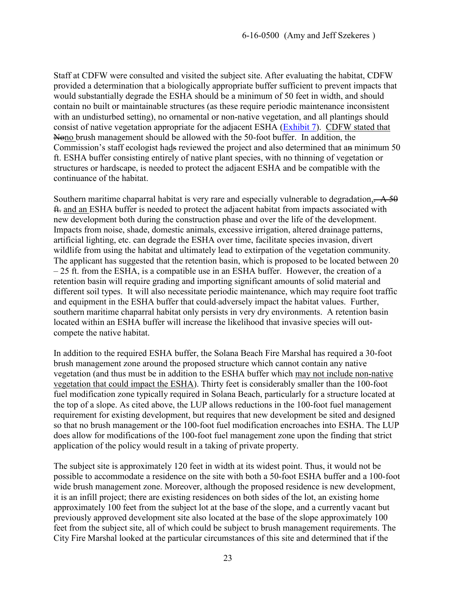Staff at CDFW were consulted and visited the subject site. After evaluating the habitat, CDFW provided a determination that a biologically appropriate buffer sufficient to prevent impacts that would substantially degrade the ESHA should be a minimum of 50 feet in width, and should contain no built or maintainable structures (as these require periodic maintenance inconsistent with an undisturbed setting), no ornamental or non-native vegetation, and all plantings should consist of native vegetation appropriate for the adjacent ESHA [\(Exhibit 7\)](https://documents.coastal.ca.gov/reports/2017/7/Th20a/Th20a-7-2017-exhibits.pdf). CDFW stated that Nono brush management should be allowed with the 50-foot buffer. In addition, the Commission's staff ecologist hads reviewed the project and also determined that an minimum 50 ft. ESHA buffer consisting entirely of native plant species, with no thinning of vegetation or structures or hardscape, is needed to protect the adjacent ESHA and be compatible with the continuance of the habitat.

Southern maritime chaparral habitat is very rare and especially vulnerable to degradation,  $\div$  A 50 ft. and an ESHA buffer is needed to protect the adjacent habitat from impacts associated with new development both during the construction phase and over the life of the development. Impacts from noise, shade, domestic animals, excessive irrigation, altered drainage patterns, artificial lighting, etc. can degrade the ESHA over time, facilitate species invasion, divert wildlife from using the habitat and ultimately lead to extirpation of the vegetation community. The applicant has suggested that the retention basin, which is proposed to be located between 20 – 25 ft. from the ESHA, is a compatible use in an ESHA buffer. However, the creation of a retention basin will require grading and importing significant amounts of solid material and different soil types. It will also necessitate periodic maintenance, which may require foot traffic and equipment in the ESHA buffer that could adversely impact the habitat values. Further, southern maritime chaparral habitat only persists in very dry environments. A retention basin located within an ESHA buffer will increase the likelihood that invasive species will outcompete the native habitat.

In addition to the required ESHA buffer, the Solana Beach Fire Marshal has required a 30-foot brush management zone around the proposed structure which cannot contain any native vegetation (and thus must be in addition to the ESHA buffer which may not include non-native vegetation that could impact the ESHA). Thirty feet is considerably smaller than the 100-foot fuel modification zone typically required in Solana Beach, particularly for a structure located at the top of a slope. As cited above, the LUP allows reductions in the 100-foot fuel management requirement for existing development, but requires that new development be sited and designed so that no brush management or the 100-foot fuel modification encroaches into ESHA. The LUP does allow for modifications of the 100-foot fuel management zone upon the finding that strict application of the policy would result in a taking of private property.

The subject site is approximately 120 feet in width at its widest point. Thus, it would not be possible to accommodate a residence on the site with both a 50-foot ESHA buffer and a 100-foot wide brush management zone. Moreover, although the proposed residence is new development, it is an infill project; there are existing residences on both sides of the lot, an existing home approximately 100 feet from the subject lot at the base of the slope, and a currently vacant but previously approved development site also located at the base of the slope approximately 100 feet from the subject site, all of which could be subject to brush management requirements. The City Fire Marshal looked at the particular circumstances of this site and determined that if the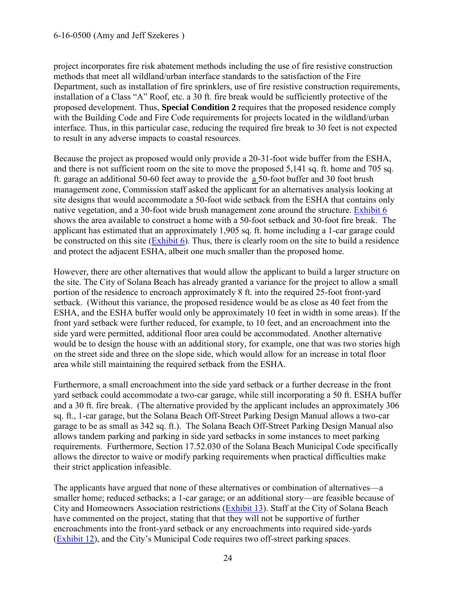project incorporates fire risk abatement methods including the use of fire resistive construction methods that meet all wildland/urban interface standards to the satisfaction of the Fire Department, such as installation of fire sprinklers, use of fire resistive construction requirements, installation of a Class "A" Roof, etc. a 30 ft. fire break would be sufficiently protective of the proposed development. Thus, **Special Condition 2** requires that the proposed residence comply with the Building Code and Fire Code requirements for projects located in the wildland/urban interface. Thus, in this particular case, reducing the required fire break to 30 feet is not expected to result in any adverse impacts to coastal resources.

Because the project as proposed would only provide a 20-31-foot wide buffer from the ESHA, and there is not sufficient room on the site to move the proposed 5,141 sq. ft. home and 705 sq. ft. garage an additional 50-60 feet away to provide the a 50-foot buffer and 30 foot brush management zone, Commission staff asked the applicant for an alternatives analysis looking at site designs that would accommodate a 50-foot wide setback from the ESHA that contains only native vegetation, and a 30-foot wide brush management zone around the structure. [Exhibit 6](https://documents.coastal.ca.gov/reports/2017/7/Th20a/Th20a-7-2017-exhibits.pdf) shows the area available to construct a home with a 50-foot setback and 30-foot fire break. The applicant has estimated that an approximately 1,905 sq. ft. home including a 1-car garage could be constructed on this site [\(Exhibit 6\)](https://documents.coastal.ca.gov/reports/2017/7/Th20a/Th20a-7-2017-exhibits.pdf). Thus, there is clearly room on the site to build a residence and protect the adjacent ESHA, albeit one much smaller than the proposed home.

However, there are other alternatives that would allow the applicant to build a larger structure on the site. The City of Solana Beach has already granted a variance for the project to allow a small portion of the residence to encroach approximately 8 ft. into the required 25-foot front-yard setback. (Without this variance, the proposed residence would be as close as 40 feet from the ESHA, and the ESHA buffer would only be approximately 10 feet in width in some areas). If the front yard setback were further reduced, for example, to 10 feet, and an encroachment into the side yard were permitted, additional floor area could be accommodated. Another alternative would be to design the house with an additional story, for example, one that was two stories high on the street side and three on the slope side, which would allow for an increase in total floor area while still maintaining the required setback from the ESHA.

Furthermore, a small encroachment into the side yard setback or a further decrease in the front yard setback could accommodate a two-car garage, while still incorporating a 50 ft. ESHA buffer and a 30 ft. fire break. (The alternative provided by the applicant includes an approximately 306 sq. ft., 1-car garage, but the Solana Beach Off-Street Parking Design Manual allows a two-car garage to be as small as 342 sq. ft.). The Solana Beach Off-Street Parking Design Manual also allows tandem parking and parking in side yard setbacks in some instances to meet parking requirements. Furthermore, Section 17.52.030 of the Solana Beach Municipal Code specifically allows the director to waive or modify parking requirements when practical difficulties make their strict application infeasible.

The applicants have argued that none of these alternatives or combination of alternatives—a smaller home; reduced setbacks; a 1-car garage; or an additional story—are feasible because of City and Homeowners Association restrictions [\(Exhibit 13\)](https://documents.coastal.ca.gov/reports/2017/7/Th20a/Th20a-7-2017-exhibits.pdf). Staff at the City of Solana Beach have commented on the project, stating that that they will not be supportive of further encroachments into the front-yard setback or any encroachments into required side-yards [\(Exhibit 12\)](https://documents.coastal.ca.gov/reports/2017/7/Th20a/Th20a-7-2017-exhibits.pdf), and the City's Municipal Code requires two off-street parking spaces.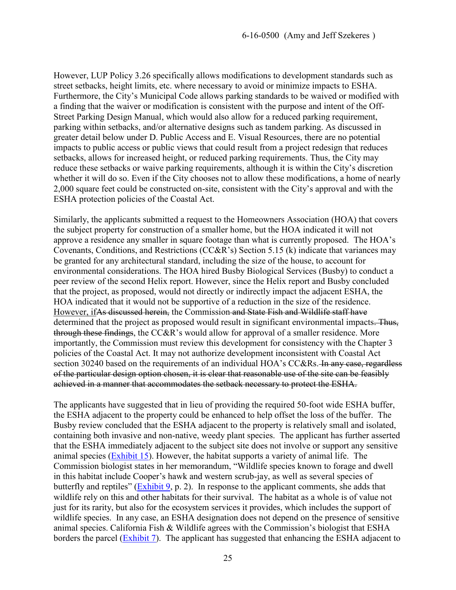However, LUP Policy 3.26 specifically allows modifications to development standards such as street setbacks, height limits, etc. where necessary to avoid or minimize impacts to ESHA. Furthermore, the City's Municipal Code allows parking standards to be waived or modified with a finding that the waiver or modification is consistent with the purpose and intent of the Off-Street Parking Design Manual, which would also allow for a reduced parking requirement, parking within setbacks, and/or alternative designs such as tandem parking. As discussed in greater detail below under D. Public Access and E. Visual Resources, there are no potential impacts to public access or public views that could result from a project redesign that reduces setbacks, allows for increased height, or reduced parking requirements. Thus, the City may reduce these setbacks or waive parking requirements, although it is within the City's discretion whether it will do so. Even if the City chooses not to allow these modifications, a home of nearly 2,000 square feet could be constructed on-site, consistent with the City's approval and with the ESHA protection policies of the Coastal Act.

Similarly, the applicants submitted a request to the Homeowners Association (HOA) that covers the subject property for construction of a smaller home, but the HOA indicated it will not approve a residence any smaller in square footage than what is currently proposed. The HOA's Covenants, Conditions, and Restrictions (CC&R's) Section 5.15 (k) indicate that variances may be granted for any architectural standard, including the size of the house, to account for environmental considerations. The HOA hired Busby Biological Services (Busby) to conduct a peer review of the second Helix report. However, since the Helix report and Busby concluded that the project, as proposed, would not directly or indirectly impact the adjacent ESHA, the HOA indicated that it would not be supportive of a reduction in the size of the residence. However, ifAs discussed herein, the Commission and State Fish and Wildlife staff have determined that the project as proposed would result in significant environmental impacts. Thus, through these findings, the CC&R's would allow for approval of a smaller residence. More importantly, the Commission must review this development for consistency with the Chapter 3 policies of the Coastal Act. It may not authorize development inconsistent with Coastal Act section 30240 based on the requirements of an individual HOA's CC&Rs. In any case, regardless of the particular design option chosen, it is clear that reasonable use of the site can be feasibly achieved in a manner that accommodates the setback necessary to protect the ESHA.

The applicants have suggested that in lieu of providing the required 50-foot wide ESHA buffer, the ESHA adjacent to the property could be enhanced to help offset the loss of the buffer. The Busby review concluded that the ESHA adjacent to the property is relatively small and isolated, containing both invasive and non-native, weedy plant species. The applicant has further asserted that the ESHA immediately adjacent to the subject site does not involve or support any sensitive animal species [\(Exhibit 15\)](https://documents.coastal.ca.gov/reports/2017/7/Th20a/Th20a-7-2017-exhibits.pdf). However, the habitat supports a variety of animal life. The Commission biologist states in her memorandum, "Wildlife species known to forage and dwell in this habitat include Cooper's hawk and western scrub-jay, as well as several species of butterfly and reptiles" [\(Exhibit 9,](https://documents.coastal.ca.gov/reports/2017/7/Th20a/Th20a-7-2017-exhibits.pdf) p. 2). In response to the applicant comments, she adds that wildlife rely on this and other habitats for their survival. The habitat as a whole is of value not just for its rarity, but also for the ecosystem services it provides, which includes the support of wildlife species. In any case, an ESHA designation does not depend on the presence of sensitive animal species. California Fish & Wildlife agrees with the Commission's biologist that ESHA borders the parcel [\(Exhibit 7\)](https://documents.coastal.ca.gov/reports/2017/7/Th20a/Th20a-7-2017-exhibits.pdf). The applicant has suggested that enhancing the ESHA adjacent to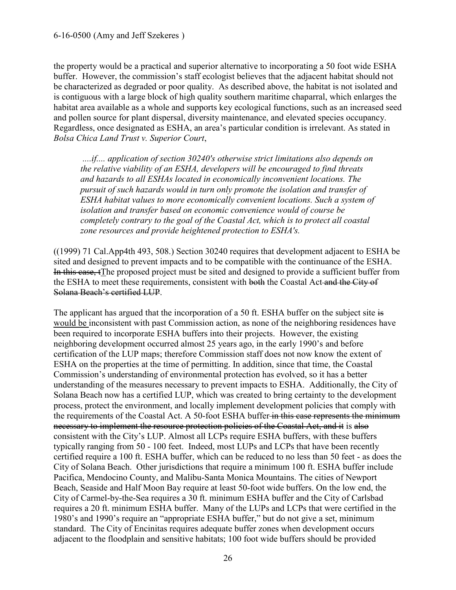the property would be a practical and superior alternative to incorporating a 50 foot wide ESHA buffer. However, the commission's staff ecologist believes that the adjacent habitat should not be characterized as degraded or poor quality. As described above, the habitat is not isolated and is contiguous with a large block of high quality southern maritime chaparral, which enlarges the habitat area available as a whole and supports key ecological functions, such as an increased seed and pollen source for plant dispersal, diversity maintenance, and elevated species occupancy. Regardless, once designated as ESHA, an area's particular condition is irrelevant. As stated in *Bolsa Chica Land Trust v. Superior Court*,

*....if.... application of section 30240's otherwise strict limitations also depends on the relative viability of an ESHA, developers will be encouraged to find threats and hazards to all ESHAs located in economically inconvenient locations. The pursuit of such hazards would in turn only promote the isolation and transfer of ESHA habitat values to more economically convenient locations. Such a system of isolation and transfer based on economic convenience would of course be completely contrary to the goal of the Coastal Act, which is to protect all coastal zone resources and provide heightened protection to ESHA's.* 

((1999) 71 Cal.App4th 493, 508.) Section 30240 requires that development adjacent to ESHA be sited and designed to prevent impacts and to be compatible with the continuance of the ESHA. In this case, tThe proposed project must be sited and designed to provide a sufficient buffer from the ESHA to meet these requirements, consistent with both the Coastal Act and the City of Solana Beach's certified LUP.

The applicant has argued that the incorporation of a 50 ft. ESHA buffer on the subject site is would be inconsistent with past Commission action, as none of the neighboring residences have been required to incorporate ESHA buffers into their projects. However, the existing neighboring development occurred almost 25 years ago, in the early 1990's and before certification of the LUP maps; therefore Commission staff does not now know the extent of ESHA on the properties at the time of permitting. In addition, since that time, the Coastal Commission's understanding of environmental protection has evolved, so it has a better understanding of the measures necessary to prevent impacts to ESHA. Additionally, the City of Solana Beach now has a certified LUP, which was created to bring certainty to the development process, protect the environment, and locally implement development policies that comply with the requirements of the Coastal Act. A 50-foot ESHA buffer in this case represents the minimum necessary to implement the resource protection policies of the Coastal Act, and it is also consistent with the City's LUP. Almost all LCPs require ESHA buffers, with these buffers typically ranging from 50 - 100 feet. Indeed, most LUPs and LCPs that have been recently certified require a 100 ft. ESHA buffer, which can be reduced to no less than 50 feet - as does the City of Solana Beach. Other jurisdictions that require a minimum 100 ft. ESHA buffer include Pacifica, Mendocino County, and Malibu-Santa Monica Mountains. The cities of Newport Beach, Seaside and Half Moon Bay require at least 50-foot wide buffers. On the low end, the City of Carmel-by-the-Sea requires a 30 ft. minimum ESHA buffer and the City of Carlsbad requires a 20 ft. minimum ESHA buffer. Many of the LUPs and LCPs that were certified in the 1980's and 1990's require an "appropriate ESHA buffer," but do not give a set, minimum standard. The City of Encinitas requires adequate buffer zones when development occurs adjacent to the floodplain and sensitive habitats; 100 foot wide buffers should be provided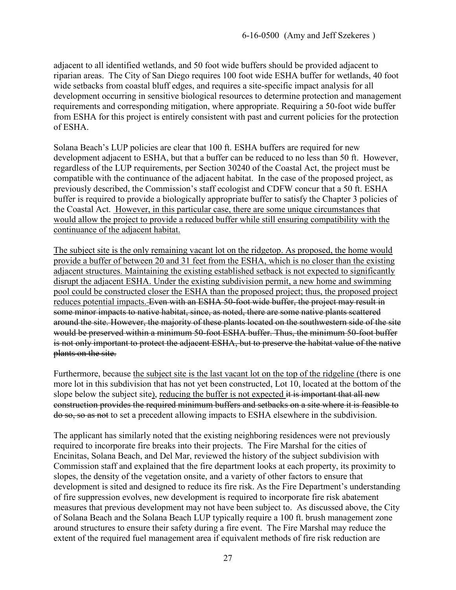adjacent to all identified wetlands, and 50 foot wide buffers should be provided adjacent to riparian areas. The City of San Diego requires 100 foot wide ESHA buffer for wetlands, 40 foot wide setbacks from coastal bluff edges, and requires a site-specific impact analysis for all development occurring in sensitive biological resources to determine protection and management requirements and corresponding mitigation, where appropriate. Requiring a 50-foot wide buffer from ESHA for this project is entirely consistent with past and current policies for the protection of ESHA.

Solana Beach's LUP policies are clear that 100 ft. ESHA buffers are required for new development adjacent to ESHA, but that a buffer can be reduced to no less than 50 ft. However, regardless of the LUP requirements, per Section 30240 of the Coastal Act, the project must be compatible with the continuance of the adjacent habitat. In the case of the proposed project, as previously described, the Commission's staff ecologist and CDFW concur that a 50 ft. ESHA buffer is required to provide a biologically appropriate buffer to satisfy the Chapter 3 policies of the Coastal Act. However, in this particular case, there are some unique circumstances that would allow the project to provide a reduced buffer while still ensuring compatibility with the continuance of the adjacent habitat.

The subject site is the only remaining vacant lot on the ridgetop. As proposed, the home would provide a buffer of between 20 and 31 feet from the ESHA, which is no closer than the existing adjacent structures. Maintaining the existing established setback is not expected to significantly disrupt the adjacent ESHA. Under the existing subdivision permit, a new home and swimming pool could be constructed closer the ESHA than the proposed project; thus, the proposed project reduces potential impacts. Even with an ESHA 50-foot wide buffer, the project may result in some minor impacts to native habitat, since, as noted, there are some native plants scattered around the site. However, the majority of these plants located on the southwestern side of the site would be preserved within a minimum 50-foot ESHA buffer. Thus, the minimum 50-foot buffer is not only important to protect the adjacent ESHA, but to preserve the habitat value of the native plants on the site.

Furthermore, because the subject site is the last vacant lot on the top of the ridgeline (there is one more lot in this subdivision that has not yet been constructed, Lot 10, located at the bottom of the slope below the subject site), reducing the buffer is not expected it is important that all new construction provides the required minimum buffers and setbacks on a site where it is feasible to do so, so as not to set a precedent allowing impacts to ESHA elsewhere in the subdivision.

The applicant has similarly noted that the existing neighboring residences were not previously required to incorporate fire breaks into their projects. The Fire Marshal for the cities of Encinitas, Solana Beach, and Del Mar, reviewed the history of the subject subdivision with Commission staff and explained that the fire department looks at each property, its proximity to slopes, the density of the vegetation onsite, and a variety of other factors to ensure that development is sited and designed to reduce its fire risk. As the Fire Department's understanding of fire suppression evolves, new development is required to incorporate fire risk abatement measures that previous development may not have been subject to. As discussed above, the City of Solana Beach and the Solana Beach LUP typically require a 100 ft. brush management zone around structures to ensure their safety during a fire event. The Fire Marshal may reduce the extent of the required fuel management area if equivalent methods of fire risk reduction are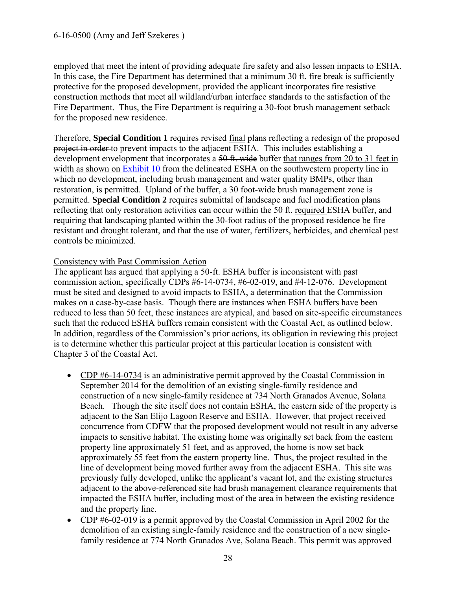employed that meet the intent of providing adequate fire safety and also lessen impacts to ESHA. In this case, the Fire Department has determined that a minimum 30 ft. fire break is sufficiently protective for the proposed development, provided the applicant incorporates fire resistive construction methods that meet all wildland/urban interface standards to the satisfaction of the Fire Department. Thus, the Fire Department is requiring a 30-foot brush management setback for the proposed new residence.

Therefore, **Special Condition 1** requires revised final plans reflecting a redesign of the proposed project in order to prevent impacts to the adjacent ESHA. This includes establishing a development envelopment that incorporates a 50 ft. wide buffer that ranges from 20 to 31 feet in width as shown on [Exhibit 10](https://documents.coastal.ca.gov/reports/2017/7/Th20a/Th20a-7-2017-exhibits.pdf) from the delineated ESHA on the southwestern property line in which no development, including brush management and water quality BMPs, other than restoration, is permitted. Upland of the buffer, a 30 foot-wide brush management zone is permitted. **Special Condition 2** requires submittal of landscape and fuel modification plans reflecting that only restoration activities can occur within the 50 ft. required ESHA buffer, and requiring that landscaping planted within the 30-foot radius of the proposed residence be fire resistant and drought tolerant, and that the use of water, fertilizers, herbicides, and chemical pest controls be minimized.

#### Consistency with Past Commission Action

The applicant has argued that applying a 50-ft. ESHA buffer is inconsistent with past commission action, specifically CDPs #6-14-0734, #6-02-019, and #4-12-076. Development must be sited and designed to avoid impacts to ESHA, a determination that the Commission makes on a case-by-case basis. Though there are instances when ESHA buffers have been reduced to less than 50 feet, these instances are atypical, and based on site-specific circumstances such that the reduced ESHA buffers remain consistent with the Coastal Act, as outlined below. In addition, regardless of the Commission's prior actions, its obligation in reviewing this project is to determine whether this particular project at this particular location is consistent with Chapter 3 of the Coastal Act.

- CDP #6-14-0734 is an administrative permit approved by the Coastal Commission in September 2014 for the demolition of an existing single-family residence and construction of a new single-family residence at 734 North Granados Avenue, Solana Beach. Though the site itself does not contain ESHA, the eastern side of the property is adjacent to the San Elijo Lagoon Reserve and ESHA. However, that project received concurrence from CDFW that the proposed development would not result in any adverse impacts to sensitive habitat. The existing home was originally set back from the eastern property line approximately 51 feet, and as approved, the home is now set back approximately 55 feet from the eastern property line. Thus, the project resulted in the line of development being moved further away from the adjacent ESHA. This site was previously fully developed, unlike the applicant's vacant lot, and the existing structures adjacent to the above-referenced site had brush management clearance requirements that impacted the ESHA buffer, including most of the area in between the existing residence and the property line.
- CDP  $#6-02-019$  is a permit approved by the Coastal Commission in April 2002 for the demolition of an existing single-family residence and the construction of a new singlefamily residence at 774 North Granados Ave, Solana Beach. This permit was approved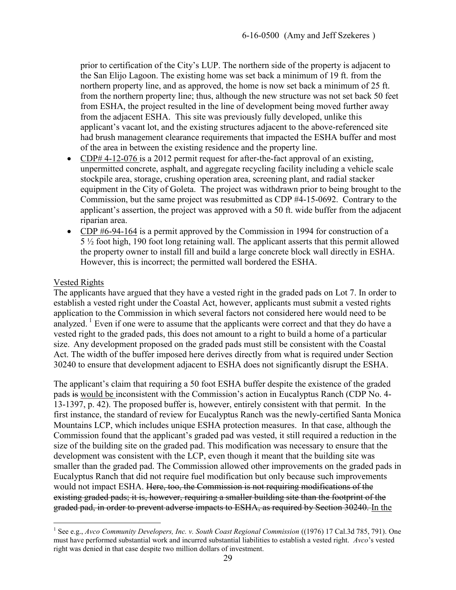prior to certification of the City's LUP. The northern side of the property is adjacent to the San Elijo Lagoon. The existing home was set back a minimum of 19 ft. from the northern property line, and as approved, the home is now set back a minimum of 25 ft. from the northern property line; thus, although the new structure was not set back 50 feet from ESHA, the project resulted in the line of development being moved further away from the adjacent ESHA. This site was previously fully developed, unlike this applicant's vacant lot, and the existing structures adjacent to the above-referenced site had brush management clearance requirements that impacted the ESHA buffer and most of the area in between the existing residence and the property line.

- CDP# 4-12-076 is a 2012 permit request for after-the-fact approval of an existing, unpermitted concrete, asphalt, and aggregate recycling facility including a vehicle scale stockpile area, storage, crushing operation area, screening plant, and radial stacker equipment in the City of Goleta. The project was withdrawn prior to being brought to the Commission, but the same project was resubmitted as CDP #4-15-0692. Contrary to the applicant's assertion, the project was approved with a 50 ft. wide buffer from the adjacent riparian area.
- CDP #6-94-164 is a permit approved by the Commission in 1994 for construction of a 5 ½ foot high, 190 foot long retaining wall. The applicant asserts that this permit allowed the property owner to install fill and build a large concrete block wall directly in ESHA. However, this is incorrect; the permitted wall bordered the ESHA.

#### Vested Rights

 $\overline{a}$ 

The applicants have argued that they have a vested right in the graded pads on Lot 7. In order to establish a vested right under the Coastal Act, however, applicants must submit a vested rights application to the Commission in which several factors not considered here would need to be analyzed.<sup>1</sup> Even if one were to assume that the applicants were correct and that they do have a vested right to the graded pads, this does not amount to a right to build a home of a particular size. Any development proposed on the graded pads must still be consistent with the Coastal Act. The width of the buffer imposed here derives directly from what is required under Section 30240 to ensure that development adjacent to ESHA does not significantly disrupt the ESHA.

The applicant's claim that requiring a 50 foot ESHA buffer despite the existence of the graded pads is would be inconsistent with the Commission's action in Eucalyptus Ranch (CDP No. 4- 13-1397, p. 42). The proposed buffer is, however, entirely consistent with that permit. In the first instance, the standard of review for Eucalyptus Ranch was the newly-certified Santa Monica Mountains LCP, which includes unique ESHA protection measures. In that case, although the Commission found that the applicant's graded pad was vested, it still required a reduction in the size of the building site on the graded pad. This modification was necessary to ensure that the development was consistent with the LCP, even though it meant that the building site was smaller than the graded pad. The Commission allowed other improvements on the graded pads in Eucalyptus Ranch that did not require fuel modification but only because such improvements would not impact ESHA. Here, too, the Commission is not requiring modifications of the existing graded pads; it is, however, requiring a smaller building site than the footprint of the graded pad, in order to prevent adverse impacts to ESHA, as required by Section 30240. In the

<sup>&</sup>lt;sup>1</sup> See e.g., *Avco Community Developers, Inc. v. South Coast Regional Commission* ((1976) 17 Cal.3d 785, 791). One must have performed substantial work and incurred substantial liabilities to establish a vested right. *Avco*'s vested right was denied in that case despite two million dollars of investment.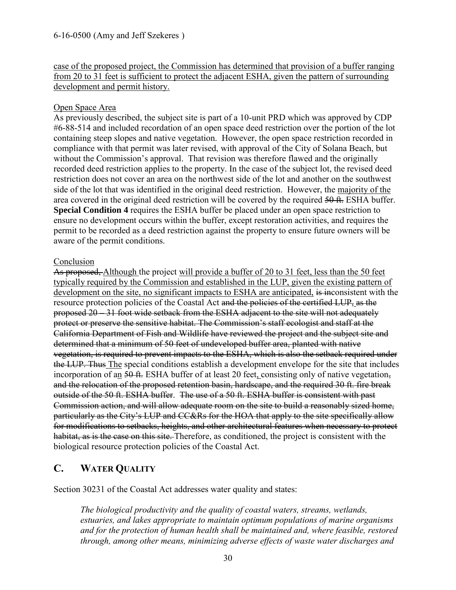case of the proposed project, the Commission has determined that provision of a buffer ranging from 20 to 31 feet is sufficient to protect the adjacent ESHA, given the pattern of surrounding development and permit history.

#### Open Space Area

As previously described, the subject site is part of a 10-unit PRD which was approved by CDP #6-88-514 and included recordation of an open space deed restriction over the portion of the lot containing steep slopes and native vegetation. However, the open space restriction recorded in compliance with that permit was later revised, with approval of the City of Solana Beach, but without the Commission's approval. That revision was therefore flawed and the originally recorded deed restriction applies to the property. In the case of the subject lot, the revised deed restriction does not cover an area on the northwest side of the lot and another on the southwest side of the lot that was identified in the original deed restriction. However, the majority of the area covered in the original deed restriction will be covered by the required 50 ft. ESHA buffer. **Special Condition 4** requires the ESHA buffer be placed under an open space restriction to ensure no development occurs within the buffer, except restoration activities, and requires the permit to be recorded as a deed restriction against the property to ensure future owners will be aware of the permit conditions.

#### Conclusion

As proposed, Although the project will provide a buffer of 20 to 31 feet, less than the 50 feet typically required by the Commission and established in the LUP, given the existing pattern of development on the site, no significant impacts to ESHA are anticipated, is inconsistent with the resource protection policies of the Coastal Act and the policies of the certified LUP, as the proposed 20 – 31 foot wide setback from the ESHA adjacent to the site will not adequately protect or preserve the sensitive habitat. The Commission's staff ecologist and staff at the California Department of Fish and Wildlife have reviewed the project and the subject site and determined that a minimum of 50 feet of undeveloped buffer area, planted with native vegetation, is required to prevent impacts to the ESHA, which is also the setback required under the LUP. Thus The special conditions establish a development envelope for the site that includes incorporation of an 50 ft. ESHA buffer of at least 20 feet, consisting only of native vegetation, and the relocation of the proposed retention basin, hardscape, and the required 30 ft. fire break outside of the 50 ft. ESHA buffer. The use of a 50 ft. ESHA buffer is consistent with past Commission action, and will allow adequate room on the site to build a reasonably sized home, particularly as the City's LUP and CC&Rs for the HOA that apply to the site specifically allow for modifications to setbacks, heights, and other architectural features when necessary to protect habitat, as is the case on this site. Therefore, as conditioned, the project is consistent with the biological resource protection policies of the Coastal Act.

# <span id="page-29-0"></span>**C. WATER QUALITY**

Section 30231 of the Coastal Act addresses water quality and states:

*The biological productivity and the quality of coastal waters, streams, wetlands, estuaries, and lakes appropriate to maintain optimum populations of marine organisms and for the protection of human health shall be maintained and, where feasible, restored through, among other means, minimizing adverse effects of waste water discharges and*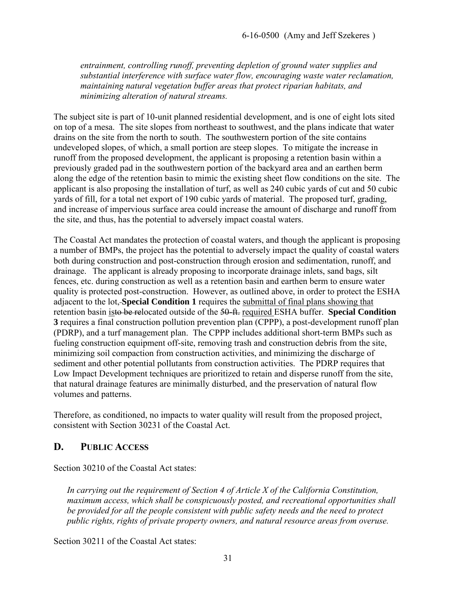*entrainment, controlling runoff, preventing depletion of ground water supplies and substantial interference with surface water flow, encouraging waste water reclamation, maintaining natural vegetation buffer areas that protect riparian habitats, and minimizing alteration of natural streams.* 

The subject site is part of 10-unit planned residential development, and is one of eight lots sited on top of a mesa. The site slopes from northeast to southwest, and the plans indicate that water drains on the site from the north to south. The southwestern portion of the site contains undeveloped slopes, of which, a small portion are steep slopes. To mitigate the increase in runoff from the proposed development, the applicant is proposing a retention basin within a previously graded pad in the southwestern portion of the backyard area and an earthen berm along the edge of the retention basin to mimic the existing sheet flow conditions on the site. The applicant is also proposing the installation of turf, as well as 240 cubic yards of cut and 50 cubic yards of fill, for a total net export of 190 cubic yards of material. The proposed turf, grading, and increase of impervious surface area could increase the amount of discharge and runoff from the site, and thus, has the potential to adversely impact coastal waters.

The Coastal Act mandates the protection of coastal waters, and though the applicant is proposing a number of BMPs, the project has the potential to adversely impact the quality of coastal waters both during construction and post-construction through erosion and sedimentation, runoff, and drainage.The applicant is already proposing to incorporate drainage inlets, sand bags, silt fences, etc. during construction as well as a retention basin and earthen berm to ensure water quality is protected post-construction. However, as outlined above, in order to protect the ESHA adjacent to the lot, **Special Condition 1** requires the submittal of final plans showing that retention basin isto be relocated outside of the 50-ft. required ESHA buffer. **Special Condition 3** requires a final construction pollution prevention plan (CPPP), a post-development runoff plan (PDRP), and a turf management plan. The CPPP includes additional short-term BMPs such as fueling construction equipment off-site, removing trash and construction debris from the site, minimizing soil compaction from construction activities, and minimizing the discharge of sediment and other potential pollutants from construction activities. The PDRP requires that Low Impact Development techniques are prioritized to retain and disperse runoff from the site, that natural drainage features are minimally disturbed, and the preservation of natural flow volumes and patterns.

Therefore, as conditioned, no impacts to water quality will result from the proposed project, consistent with Section 30231 of the Coastal Act.

## <span id="page-30-0"></span>**D. PUBLIC ACCESS**

Section 30210 of the Coastal Act states:

*In carrying out the requirement of Section 4 of Article X of the California Constitution, maximum access, which shall be conspicuously posted, and recreational opportunities shall be provided for all the people consistent with public safety needs and the need to protect public rights, rights of private property owners, and natural resource areas from overuse.* 

Section 30211 of the Coastal Act states: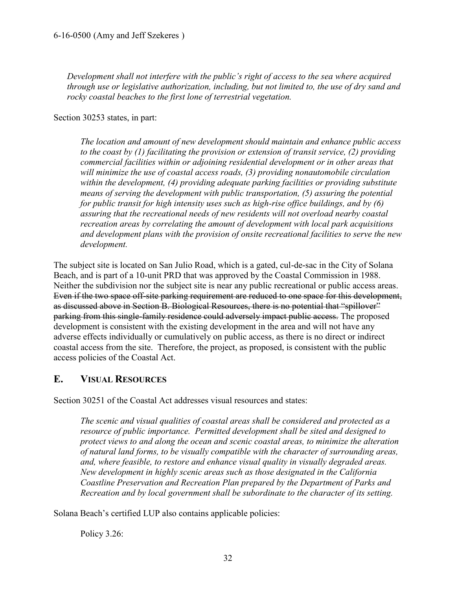*Development shall not interfere with the public's right of access to the sea where acquired through use or legislative authorization, including, but not limited to, the use of dry sand and rocky coastal beaches to the first lone of terrestrial vegetation.* 

Section 30253 states, in part:

*The location and amount of new development should maintain and enhance public access to the coast by (1) facilitating the provision or extension of transit service, (2) providing commercial facilities within or adjoining residential development or in other areas that will minimize the use of coastal access roads, (3) providing nonautomobile circulation within the development, (4) providing adequate parking facilities or providing substitute means of serving the development with public transportation, (5) assuring the potential for public transit for high intensity uses such as high-rise office buildings, and by (6) assuring that the recreational needs of new residents will not overload nearby coastal recreation areas by correlating the amount of development with local park acquisitions and development plans with the provision of onsite recreational facilities to serve the new development.* 

The subject site is located on San Julio Road, which is a gated, cul-de-sac in the City of Solana Beach, and is part of a 10-unit PRD that was approved by the Coastal Commission in 1988. Neither the subdivision nor the subject site is near any public recreational or public access areas. Even if the two space off-site parking requirement are reduced to one space for this development, as discussed above in Section B. Biological Resources, there is no potential that "spillover" parking from this single-family residence could adversely impact public access. The proposed development is consistent with the existing development in the area and will not have any adverse effects individually or cumulatively on public access, as there is no direct or indirect coastal access from the site. Therefore, the project, as proposed, is consistent with the public access policies of the Coastal Act.

# <span id="page-31-0"></span>**E. VISUAL RESOURCES**

Section 30251 of the Coastal Act addresses visual resources and states:

*The scenic and visual qualities of coastal areas shall be considered and protected as a resource of public importance. Permitted development shall be sited and designed to protect views to and along the ocean and scenic coastal areas, to minimize the alteration of natural land forms, to be visually compatible with the character of surrounding areas, and, where feasible, to restore and enhance visual quality in visually degraded areas. New development in highly scenic areas such as those designated in the California Coastline Preservation and Recreation Plan prepared by the Department of Parks and Recreation and by local government shall be subordinate to the character of its setting.* 

Solana Beach's certified LUP also contains applicable policies:

Policy 3.26: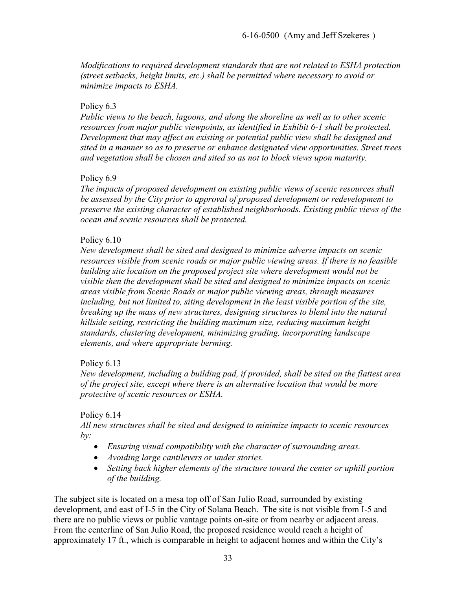*Modifications to required development standards that are not related to ESHA protection (street setbacks, height limits, etc.) shall be permitted where necessary to avoid or minimize impacts to ESHA.* 

#### Policy 6.3

*Public views to the beach, lagoons, and along the shoreline as well as to other scenic resources from major public viewpoints, as identified in Exhibit 6-1 shall be protected. Development that may affect an existing or potential public view shall be designed and sited in a manner so as to preserve or enhance designated view opportunities. Street trees and vegetation shall be chosen and sited so as not to block views upon maturity.* 

#### Policy 6.9

*The impacts of proposed development on existing public views of scenic resources shall be assessed by the City prior to approval of proposed development or redevelopment to preserve the existing character of established neighborhoods. Existing public views of the ocean and scenic resources shall be protected.* 

#### Policy 6.10

*New development shall be sited and designed to minimize adverse impacts on scenic resources visible from scenic roads or major public viewing areas. If there is no feasible building site location on the proposed project site where development would not be visible then the development shall be sited and designed to minimize impacts on scenic areas visible from Scenic Roads or major public viewing areas, through measures*  including, but not limited to, siting development in the least visible portion of the site, *breaking up the mass of new structures, designing structures to blend into the natural hillside setting, restricting the building maximum size, reducing maximum height standards, clustering development, minimizing grading, incorporating landscape elements, and where appropriate berming.* 

## Policy 6.13

*New development, including a building pad, if provided, shall be sited on the flattest area of the project site, except where there is an alternative location that would be more protective of scenic resources or ESHA.* 

#### Policy 6.14

*All new structures shall be sited and designed to minimize impacts to scenic resources by:* 

- *Ensuring visual compatibility with the character of surrounding areas.*
- *Avoiding large cantilevers or under stories.*
- *Setting back higher elements of the structure toward the center or uphill portion of the building.*

The subject site is located on a mesa top off of San Julio Road, surrounded by existing development, and east of I-5 in the City of Solana Beach. The site is not visible from I-5 and there are no public views or public vantage points on-site or from nearby or adjacent areas. From the centerline of San Julio Road, the proposed residence would reach a height of approximately 17 ft., which is comparable in height to adjacent homes and within the City's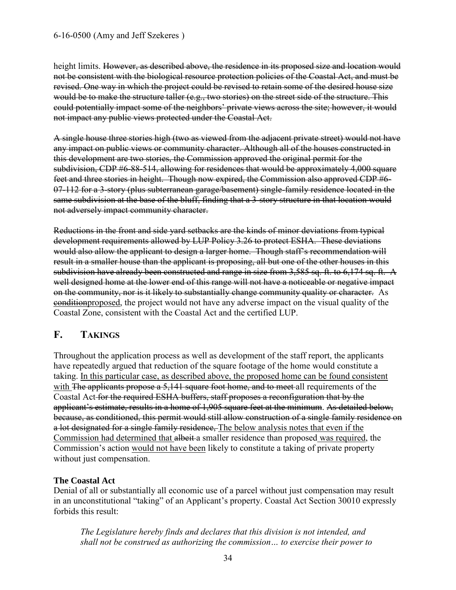height limits. However, as described above, the residence in its proposed size and location would not be consistent with the biological resource protection policies of the Coastal Act, and must be revised. One way in which the project could be revised to retain some of the desired house size would be to make the structure taller (e.g., two stories) on the street side of the structure. This could potentially impact some of the neighbors' private views across the site; however, it would not impact any public views protected under the Coastal Act.

A single house three stories high (two as viewed from the adjacent private street) would not have any impact on public views or community character. Although all of the houses constructed in this development are two stories, the Commission approved the original permit for the subdivision, CDP #6-88-514, allowing for residences that would be approximately 4,000 square feet and three stories in height. Though now expired, the Commission also approved CDP #6- 07-112 for a 3-story (plus subterranean garage/basement) single-family residence located in the same subdivision at the base of the bluff, finding that a 3-story structure in that location would not adversely impact community character.

Reductions in the front and side yard setbacks are the kinds of minor deviations from typical development requirements allowed by LUP Policy 3.26 to protect ESHA. These deviations would also allow the applicant to design a larger home. Though staff's recommendation will result in a smaller house than the applicant is proposing, all but one of the other houses in this subdivision have already been constructed and range in size from 3,585 sq. ft. to 6,174 sq. ft. A well designed home at the lower end of this range will not have a noticeable or negative impact on the community, nor is it likely to substantially change community quality or character. As **conditionproposed**, the project would not have any adverse impact on the visual quality of the Coastal Zone, consistent with the Coastal Act and the certified LUP.

# <span id="page-33-0"></span>**F. TAKINGS**

Throughout the application process as well as development of the staff report, the applicants have repeatedly argued that reduction of the square footage of the home would constitute a taking. In this particular case, as described above, the proposed home can be found consistent with The applicants propose a 5,141 square foot home, and to meet all requirements of the Coastal Act for the required ESHA buffers, staff proposes a reconfiguration that by the applicant's estimate, results in a home of 1,905 square feet at the minimum. As detailed below, because, as conditioned, this permit would still allow construction of a single family residence on a lot designated for a single family residence. The below analysis notes that even if the Commission had determined that albeit a smaller residence than proposed was required, the Commission's action would not have been likely to constitute a taking of private property without just compensation.

## **The Coastal Act**

Denial of all or substantially all economic use of a parcel without just compensation may result in an unconstitutional "taking" of an Applicant's property. Coastal Act Section 30010 expressly forbids this result:

*The Legislature hereby finds and declares that this division is not intended, and shall not be construed as authorizing the commission… to exercise their power to*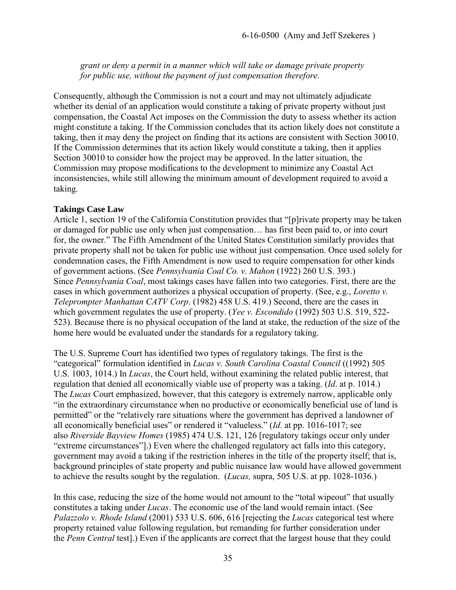*grant or deny a permit in a manner which will take or damage private property for public use, without the payment of just compensation therefore.* 

Consequently, although the Commission is not a court and may not ultimately adjudicate whether its denial of an application would constitute a taking of private property without just compensation, the Coastal Act imposes on the Commission the duty to assess whether its action might constitute a taking. If the Commission concludes that its action likely does not constitute a taking, then it may deny the project on finding that its actions are consistent with Section 30010. If the Commission determines that its action likely would constitute a taking, then it applies Section 30010 to consider how the project may be approved. In the latter situation, the Commission may propose modifications to the development to minimize any Coastal Act inconsistencies, while still allowing the minimum amount of development required to avoid a taking.

#### **Takings Case Law**

Article 1, section 19 of the California Constitution provides that "[p]rivate property may be taken or damaged for public use only when just compensation… has first been paid to, or into court for, the owner." The Fifth Amendment of the United States Constitution similarly provides that private property shall not be taken for public use without just compensation. Once used solely for condemnation cases, the Fifth Amendment is now used to require compensation for other kinds of government actions. (See *Pennsylvania Coal Co. v. Mahon* (1922) 260 U.S. 393.) Since *Pennsylvania Coal*, most takings cases have fallen into two categories. First, there are the cases in which government authorizes a physical occupation of property. (See, e.g., *Loretto v. Teleprompter Manhattan CATV Corp*. (1982) 458 U.S. 419.) Second, there are the cases in which government regulates the use of property. (*Yee v. Escondido* (1992) 503 U.S. 519, 522- 523). Because there is no physical occupation of the land at stake, the reduction of the size of the home here would be evaluated under the standards for a regulatory taking.

The U.S. Supreme Court has identified two types of regulatory takings. The first is the "categorical" formulation identified in *Lucas v. South Carolina Coastal Council* ((1992) 505 U.S. 1003, 1014.) In *Lucas*, the Court held, without examining the related public interest, that regulation that denied all economically viable use of property was a taking. (*Id*. at p. 1014.) The *Lucas* Court emphasized, however, that this category is extremely narrow, applicable only "in the extraordinary circumstance when no productive or economically beneficial use of land is permitted" or the "relatively rare situations where the government has deprived a landowner of all economically beneficial uses" or rendered it "valueless." (*Id*. at pp. 1016-1017; see also *Riverside Bayview Homes* (1985) 474 U.S. 121, 126 [regulatory takings occur only under "extreme circumstances"].) Even where the challenged regulatory act falls into this category, government may avoid a taking if the restriction inheres in the title of the property itself; that is, background principles of state property and public nuisance law would have allowed government to achieve the results sought by the regulation. (*Lucas,* supra, 505 U.S. at pp. 1028-1036.)

In this case, reducing the size of the home would not amount to the "total wipeout" that usually constitutes a taking under *Lucas*. The economic use of the land would remain intact. (See *Palazzolo v. Rhode Island* (2001) 533 U.S. 606, 616 [rejecting the *Lucas* categorical test where property retained value following regulation, but remanding for further consideration under the *Penn Central* test].) Even if the applicants are correct that the largest house that they could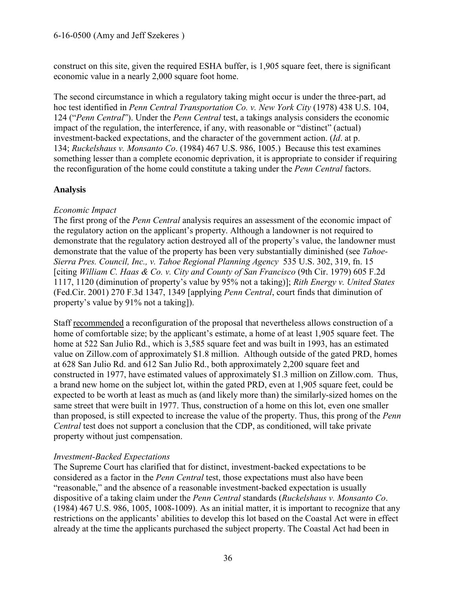construct on this site, given the required ESHA buffer, is 1,905 square feet, there is significant economic value in a nearly 2,000 square foot home.

The second circumstance in which a regulatory taking might occur is under the three-part, ad hoc test identified in *Penn Central Transportation Co. v. New York City* (1978) 438 U.S. 104, 124 ("*Penn Central*"). Under the *Penn Central* test, a takings analysis considers the economic impact of the regulation, the interference, if any, with reasonable or "distinct" (actual) investment-backed expectations, and the character of the government action. (*Id*. at p. 134; *Ruckelshaus v. Monsanto Co*. (1984) 467 U.S. 986, 1005.) Because this test examines something lesser than a complete economic deprivation, it is appropriate to consider if requiring the reconfiguration of the home could constitute a taking under the *Penn Central* factors.

#### **Analysis**

## *Economic Impact*

The first prong of the *Penn Central* analysis requires an assessment of the economic impact of the regulatory action on the applicant's property. Although a landowner is not required to demonstrate that the regulatory action destroyed all of the property's value, the landowner must demonstrate that the value of the property has been very substantially diminished (see *Tahoe-Sierra Pres. Council, Inc., v. Tahoe Regional Planning Agency* 535 U.S. 302, 319, fn. 15 [citing *William C. Haas & Co. v. City and County of San Francisco* (9th Cir. 1979) 605 F.2d 1117, 1120 (diminution of property's value by 95% not a taking)]; *Rith Energy v. United States*  (Fed.Cir. 2001) 270 F.3d 1347, 1349 [applying *Penn Central*, court finds that diminution of property's value by 91% not a taking]).

Staff recommended a reconfiguration of the proposal that nevertheless allows construction of a home of comfortable size; by the applicant's estimate, a home of at least 1,905 square feet. The home at 522 San Julio Rd., which is 3,585 square feet and was built in 1993, has an estimated value on Zillow.com of approximately \$1.8 million. Although outside of the gated PRD, homes at 628 San Julio Rd. and 612 San Julio Rd., both approximately 2,200 square feet and constructed in 1977, have estimated values of approximately \$1.3 million on Zillow.com. Thus, a brand new home on the subject lot, within the gated PRD, even at 1,905 square feet, could be expected to be worth at least as much as (and likely more than) the similarly-sized homes on the same street that were built in 1977. Thus, construction of a home on this lot, even one smaller than proposed, is still expected to increase the value of the property. Thus, this prong of the *Penn Central* test does not support a conclusion that the CDP, as conditioned, will take private property without just compensation.

## *Investment-Backed Expectations*

The Supreme Court has clarified that for distinct, investment-backed expectations to be considered as a factor in the *Penn Central* test, those expectations must also have been "reasonable," and the absence of a reasonable investment-backed expectation is usually dispositive of a taking claim under the *Penn Central* standards (*Ruckelshaus v. Monsanto Co*. (1984) 467 U.S. 986, 1005, 1008-1009). As an initial matter, it is important to recognize that any restrictions on the applicants' abilities to develop this lot based on the Coastal Act were in effect already at the time the applicants purchased the subject property. The Coastal Act had been in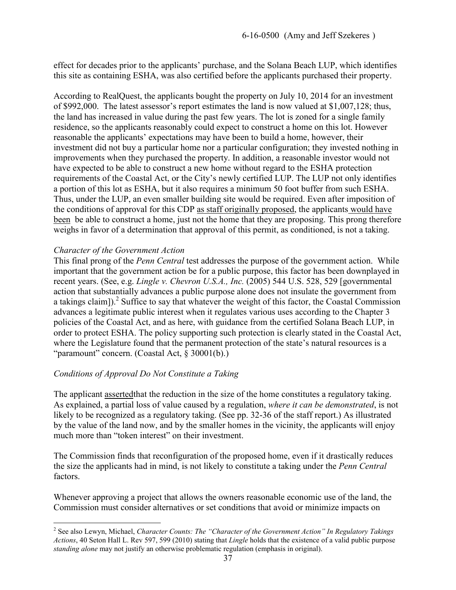effect for decades prior to the applicants' purchase, and the Solana Beach LUP, which identifies this site as containing ESHA, was also certified before the applicants purchased their property.

According to RealQuest, the applicants bought the property on July 10, 2014 for an investment of \$992,000. The latest assessor's report estimates the land is now valued at \$1,007,128; thus, the land has increased in value during the past few years. The lot is zoned for a single family residence, so the applicants reasonably could expect to construct a home on this lot. However reasonable the applicants' expectations may have been to build a home, however, their investment did not buy a particular home nor a particular configuration; they invested nothing in improvements when they purchased the property. In addition, a reasonable investor would not have expected to be able to construct a new home without regard to the ESHA protection requirements of the Coastal Act, or the City's newly certified LUP. The LUP not only identifies a portion of this lot as ESHA, but it also requires a minimum 50 foot buffer from such ESHA. Thus, under the LUP, an even smaller building site would be required. Even after imposition of the conditions of approval for this CDP as staff originally proposed, the applicants would have been be able to construct a home, just not the home that they are proposing. This prong therefore weighs in favor of a determination that approval of this permit, as conditioned, is not a taking.

## *Character of the Government Action*

 $\overline{a}$ 

This final prong of the *Penn Central* test addresses the purpose of the government action. While important that the government action be for a public purpose, this factor has been downplayed in recent years. (See, e.g. *Lingle v. Chevron U.S.A., Inc.* (2005) 544 U.S. 528, 529 [governmental action that substantially advances a public purpose alone does not insulate the government from a takings claim]).<sup>2</sup> Suffice to say that whatever the weight of this factor, the Coastal Commission advances a legitimate public interest when it regulates various uses according to the Chapter 3 policies of the Coastal Act, and as here, with guidance from the certified Solana Beach LUP, in order to protect ESHA. The policy supporting such protection is clearly stated in the Coastal Act, where the Legislature found that the permanent protection of the state's natural resources is a "paramount" concern. (Coastal Act, § 30001(b).)

## *Conditions of Approval Do Not Constitute a Taking*

The applicant assertedthat the reduction in the size of the home constitutes a regulatory taking. As explained, a partial loss of value caused by a regulation, *where it can be demonstrated*, is not likely to be recognized as a regulatory taking. (See pp. 32-36 of the staff report.) As illustrated by the value of the land now, and by the smaller homes in the vicinity, the applicants will enjoy much more than "token interest" on their investment.

The Commission finds that reconfiguration of the proposed home, even if it drastically reduces the size the applicants had in mind, is not likely to constitute a taking under the *Penn Central* factors.

Whenever approving a project that allows the owners reasonable economic use of the land, the Commission must consider alternatives or set conditions that avoid or minimize impacts on

<sup>2</sup> See also Lewyn, Michael, *Character Counts: The "Character of the Government Action" In Regulatory Takings Actions*, 40 Seton Hall L. Rev 597, 599 (2010) stating that *Lingle* holds that the existence of a valid public purpose *standing alone* may not justify an otherwise problematic regulation (emphasis in original).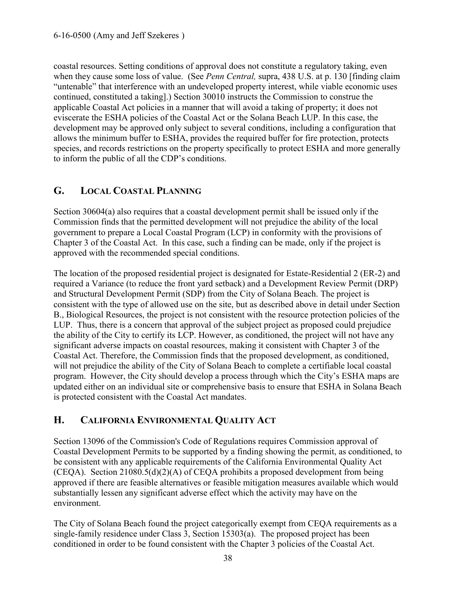coastal resources. Setting conditions of approval does not constitute a regulatory taking, even when they cause some loss of value. (See *Penn Central,* supra, 438 U.S. at p. 130 [finding claim "untenable" that interference with an undeveloped property interest, while viable economic uses continued, constituted a taking].) Section 30010 instructs the Commission to construe the applicable Coastal Act policies in a manner that will avoid a taking of property; it does not eviscerate the ESHA policies of the Coastal Act or the Solana Beach LUP. In this case, the development may be approved only subject to several conditions, including a configuration that allows the minimum buffer to ESHA, provides the required buffer for fire protection, protects species, and records restrictions on the property specifically to protect ESHA and more generally to inform the public of all the CDP's conditions.

# <span id="page-37-0"></span>**G. LOCAL COASTAL PLANNING**

Section 30604(a) also requires that a coastal development permit shall be issued only if the Commission finds that the permitted development will not prejudice the ability of the local government to prepare a Local Coastal Program (LCP) in conformity with the provisions of Chapter 3 of the Coastal Act. In this case, such a finding can be made, only if the project is approved with the recommended special conditions.

The location of the proposed residential project is designated for Estate-Residential 2 (ER-2) and required a Variance (to reduce the front yard setback) and a Development Review Permit (DRP) and Structural Development Permit (SDP) from the City of Solana Beach. The project is consistent with the type of allowed use on the site, but as described above in detail under Section B., Biological Resources, the project is not consistent with the resource protection policies of the LUP. Thus, there is a concern that approval of the subject project as proposed could prejudice the ability of the City to certify its LCP. However, as conditioned, the project will not have any significant adverse impacts on coastal resources, making it consistent with Chapter 3 of the Coastal Act. Therefore, the Commission finds that the proposed development, as conditioned, will not prejudice the ability of the City of Solana Beach to complete a certifiable local coastal program. However, the City should develop a process through which the City's ESHA maps are updated either on an individual site or comprehensive basis to ensure that ESHA in Solana Beach is protected consistent with the Coastal Act mandates.

# <span id="page-37-1"></span>**H. CALIFORNIA ENVIRONMENTAL QUALITY ACT**

Section 13096 of the Commission's Code of Regulations requires Commission approval of Coastal Development Permits to be supported by a finding showing the permit, as conditioned, to be consistent with any applicable requirements of the California Environmental Quality Act (CEQA). Section 21080.5(d)(2)(A) of CEQA prohibits a proposed development from being approved if there are feasible alternatives or feasible mitigation measures available which would substantially lessen any significant adverse effect which the activity may have on the environment.

The City of Solana Beach found the project categorically exempt from CEQA requirements as a single-family residence under Class 3, Section 15303(a). The proposed project has been conditioned in order to be found consistent with the Chapter 3 policies of the Coastal Act.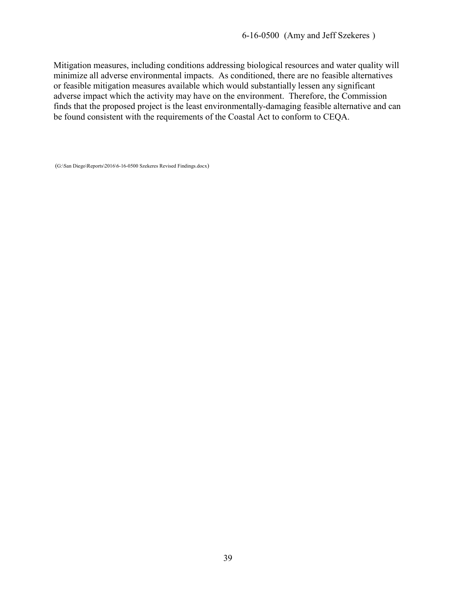Mitigation measures, including conditions addressing biological resources and water quality will minimize all adverse environmental impacts. As conditioned, there are no feasible alternatives or feasible mitigation measures available which would substantially lessen any significant adverse impact which the activity may have on the environment. Therefore, the Commission finds that the proposed project is the least environmentally-damaging feasible alternative and can be found consistent with the requirements of the Coastal Act to conform to CEQA.

(G:\San Diego\Reports\2016\6-16-0500 Szekeres Revised Findings.docx)